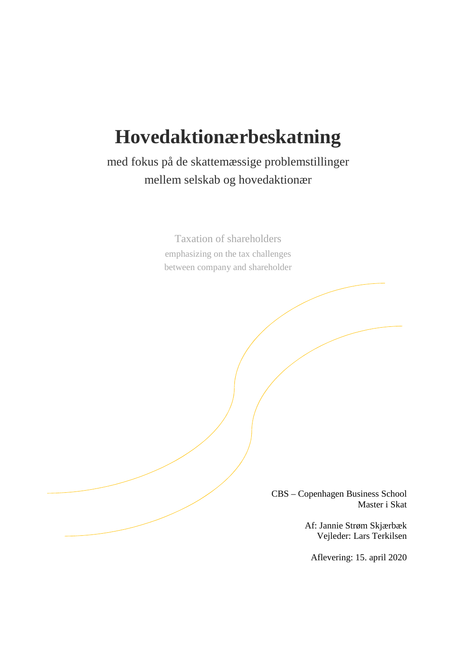# **Hovedaktionærbeskatning**

med fokus på de skattemæssige problemstillinger mellem selskab og hovedaktionær

> Taxation of shareholders emphasizing on the tax challenges between company and shareholder

> > CBS – Copenhagen Business School Master i Skat

> > > Af: Jannie Strøm Skjærbæk Vejleder: Lars Terkilsen

Aflevering: 15. april 2020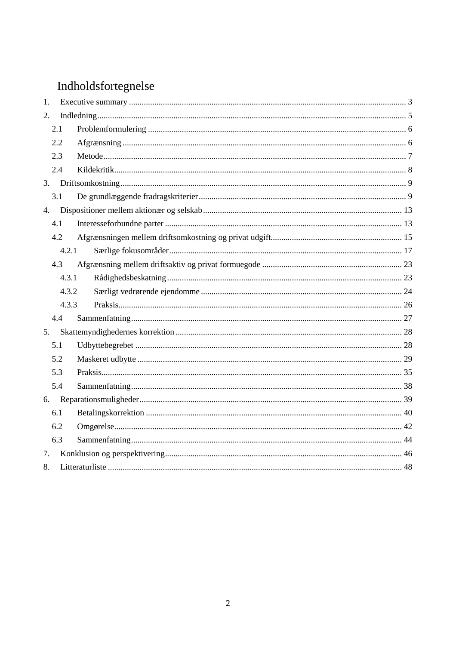## Indholdsfortegnelse

| 1.    |       |  |  |
|-------|-------|--|--|
| 2.    |       |  |  |
|       | 2.1   |  |  |
|       | 2.2   |  |  |
|       | 2.3   |  |  |
|       | 2.4   |  |  |
| 3.    |       |  |  |
|       | 3.1   |  |  |
| 4.    |       |  |  |
|       | 4.1   |  |  |
|       | 4.2   |  |  |
|       | 4.2.1 |  |  |
|       | 4.3   |  |  |
|       | 4.3.1 |  |  |
| 4.3.2 |       |  |  |
|       | 4.3.3 |  |  |
|       | 4.4   |  |  |
| 5.    |       |  |  |
|       | 5.1   |  |  |
|       | 5.2   |  |  |
|       | 5.3   |  |  |
|       | 5.4   |  |  |
| 6.    |       |  |  |
|       | 6.1   |  |  |
|       | 6.2   |  |  |
|       | 6.3   |  |  |
| 7.    |       |  |  |
| 8.    |       |  |  |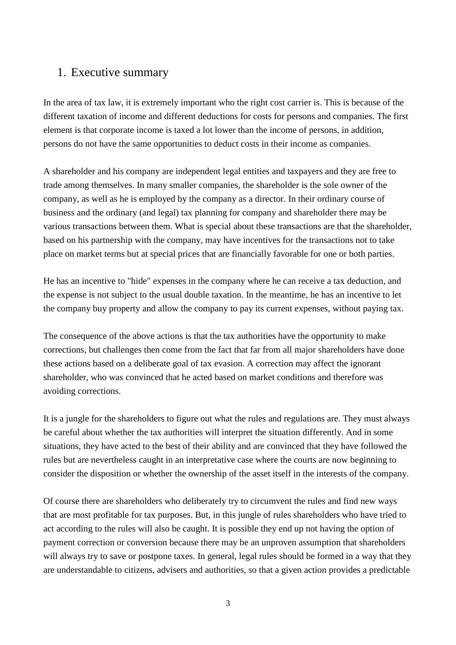## 1. Executive summary

In the area of tax law, it is extremely important who the right cost carrier is. This is because of the different taxation of income and different deductions for costs for persons and companies. The first element is that corporate income is taxed a lot lower than the income of persons, in addition, persons do not have the same opportunities to deduct costs in their income as companies.

A shareholder and his company are independent legal entities and taxpayers and they are free to trade among themselves. In many smaller companies, the shareholder is the sole owner of the company, as well as he is employed by the company as a director. In their ordinary course of business and the ordinary (and legal) tax planning for company and shareholder there may be various transactions between them. What is special about these transactions are that the shareholder, based on his partnership with the company, may have incentives for the transactions not to take place on market terms but at special prices that are financially favorable for one or both parties.

He has an incentive to "hide" expenses in the company where he can receive a tax deduction, and the expense is not subject to the usual double taxation. In the meantime, he has an incentive to let the company buy property and allow the company to pay its current expenses, without paying tax.

The consequence of the above actions is that the tax authorities have the opportunity to make corrections, but challenges then come from the fact that far from all major shareholders have done these actions based on a deliberate goal of tax evasion. A correction may affect the ignorant shareholder, who was convinced that he acted based on market conditions and therefore was avoiding corrections.

It is a jungle for the shareholders to figure out what the rules and regulations are. They must always be careful about whether the tax authorities will interpret the situation differently. And in some situations, they have acted to the best of their ability and are convinced that they have followed the rules but are nevertheless caught in an interpretative case where the courts are now beginning to consider the disposition or whether the ownership of the asset itself in the interests of the company.

Of course there are shareholders who deliberately try to circumvent the rules and find new ways that are most profitable for tax purposes. But, in this jungle of rules shareholders who have tried to act according to the rules will also be caught. It is possible they end up not having the option of payment correction or conversion because there may be an unproven assumption that shareholders will always try to save or postpone taxes. In general, legal rules should be formed in a way that they are understandable to citizens, advisers and authorities, so that a given action provides a predictable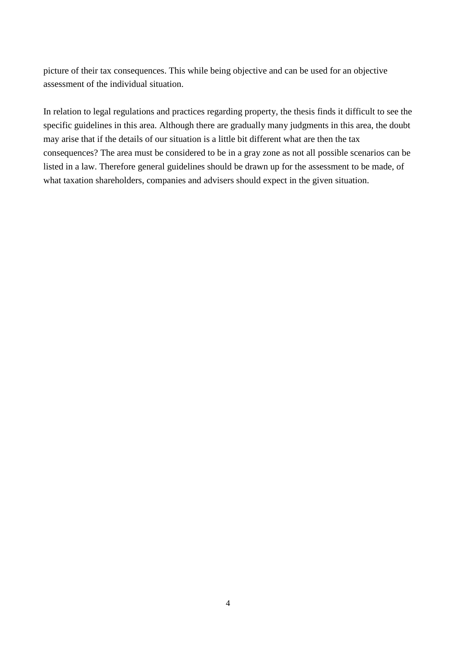picture of their tax consequences. This while being objective and can be used for an objective assessment of the individual situation.

In relation to legal regulations and practices regarding property, the thesis finds it difficult to see the specific guidelines in this area. Although there are gradually many judgments in this area, the doubt may arise that if the details of our situation is a little bit different what are then the tax consequences? The area must be considered to be in a gray zone as not all possible scenarios can be listed in a law. Therefore general guidelines should be drawn up for the assessment to be made, of what taxation shareholders, companies and advisers should expect in the given situation.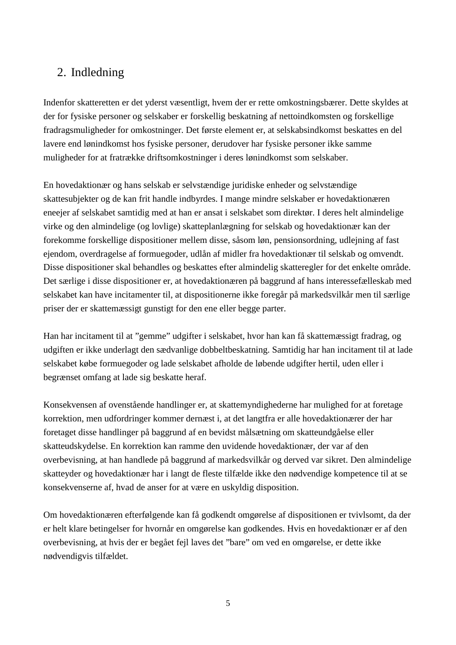## 2. Indledning

Indenfor skatteretten er det yderst væsentligt, hvem der er rette omkostningsbærer. Dette skyldes at der for fysiske personer og selskaber er forskellig beskatning af nettoindkomsten og forskellige fradragsmuligheder for omkostninger. Det første element er, at selskabsindkomst beskattes en del lavere end lønindkomst hos fysiske personer, derudover har fysiske personer ikke samme muligheder for at fratrække driftsomkostninger i deres lønindkomst som selskaber.

En hovedaktionær og hans selskab er selvstændige juridiske enheder og selvstændige skattesubjekter og de kan frit handle indbyrdes. I mange mindre selskaber er hovedaktionæren eneejer af selskabet samtidig med at han er ansat i selskabet som direktør. I deres helt almindelige virke og den almindelige (og lovlige) skatteplanlægning for selskab og hovedaktionær kan der forekomme forskellige dispositioner mellem disse, såsom løn, pensionsordning, udlejning af fast ejendom, overdragelse af formuegoder, udlån af midler fra hovedaktionær til selskab og omvendt. Disse dispositioner skal behandles og beskattes efter almindelig skatteregler for det enkelte område. Det særlige i disse dispositioner er, at hovedaktionæren på baggrund af hans interessefælleskab med selskabet kan have incitamenter til, at dispositionerne ikke foregår på markedsvilkår men til særlige priser der er skattemæssigt gunstigt for den ene eller begge parter.

Han har incitament til at "gemme" udgifter i selskabet, hvor han kan få skattemæssigt fradrag, og udgiften er ikke underlagt den sædvanlige dobbeltbeskatning. Samtidig har han incitament til at lade selskabet købe formuegoder og lade selskabet afholde de løbende udgifter hertil, uden eller i begrænset omfang at lade sig beskatte heraf.

Konsekvensen af ovenstående handlinger er, at skattemyndighederne har mulighed for at foretage korrektion, men udfordringer kommer dernæst i, at det langtfra er alle hovedaktionærer der har foretaget disse handlinger på baggrund af en bevidst målsætning om skatteundgåelse eller skatteudskydelse. En korrektion kan ramme den uvidende hovedaktionær, der var af den overbevisning, at han handlede på baggrund af markedsvilkår og derved var sikret. Den almindelige skatteyder og hovedaktionær har i langt de fleste tilfælde ikke den nødvendige kompetence til at se konsekvenserne af, hvad de anser for at være en uskyldig disposition.

Om hovedaktionæren efterfølgende kan få godkendt omgørelse af dispositionen er tvivlsomt, da der er helt klare betingelser for hvornår en omgørelse kan godkendes. Hvis en hovedaktionær er af den overbevisning, at hvis der er begået fejl laves det "bare" om ved en omgørelse, er dette ikke nødvendigvis tilfældet.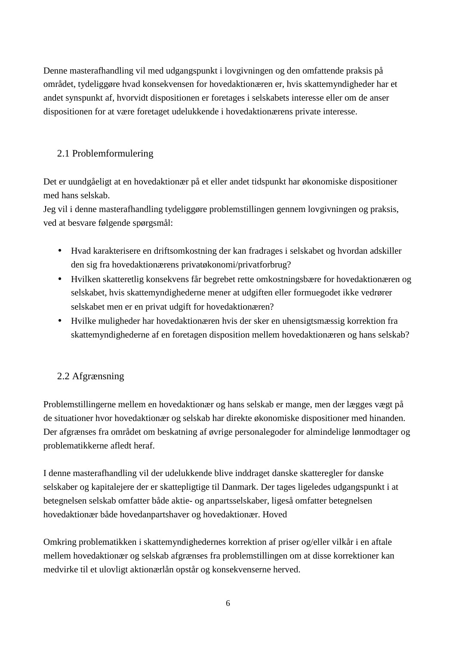Denne masterafhandling vil med udgangspunkt i lovgivningen og den omfattende praksis på området, tydeliggøre hvad konsekvensen for hovedaktionæren er, hvis skattemyndigheder har et andet synspunkt af, hvorvidt dispositionen er foretages i selskabets interesse eller om de anser dispositionen for at være foretaget udelukkende i hovedaktionærens private interesse.

## 2.1 Problemformulering

Det er uundgåeligt at en hovedaktionær på et eller andet tidspunkt har økonomiske dispositioner med hans selskab.

Jeg vil i denne masterafhandling tydeliggøre problemstillingen gennem lovgivningen og praksis, ved at besvare følgende spørgsmål:

- Hvad karakterisere en driftsomkostning der kan fradrages i selskabet og hvordan adskiller den sig fra hovedaktionærens privatøkonomi/privatforbrug?
- Hvilken skatteretlig konsekvens får begrebet rette omkostningsbære for hovedaktionæren og selskabet, hvis skattemyndighederne mener at udgiften eller formuegodet ikke vedrører selskabet men er en privat udgift for hovedaktionæren?
- Hvilke muligheder har hovedaktionæren hvis der sker en uhensigtsmæssig korrektion fra skattemyndighederne af en foretagen disposition mellem hovedaktionæren og hans selskab?

#### 2.2 Afgrænsning

Problemstillingerne mellem en hovedaktionær og hans selskab er mange, men der lægges vægt på de situationer hvor hovedaktionær og selskab har direkte økonomiske dispositioner med hinanden. Der afgrænses fra området om beskatning af øvrige personalegoder for almindelige lønmodtager og problematikkerne afledt heraf.

I denne masterafhandling vil der udelukkende blive inddraget danske skatteregler for danske selskaber og kapitalejere der er skattepligtige til Danmark. Der tages ligeledes udgangspunkt i at betegnelsen selskab omfatter både aktie- og anpartsselskaber, ligeså omfatter betegnelsen hovedaktionær både hovedanpartshaver og hovedaktionær. Hoved

Omkring problematikken i skattemyndighedernes korrektion af priser og/eller vilkår i en aftale mellem hovedaktionær og selskab afgrænses fra problemstillingen om at disse korrektioner kan medvirke til et ulovligt aktionærlån opstår og konsekvenserne herved.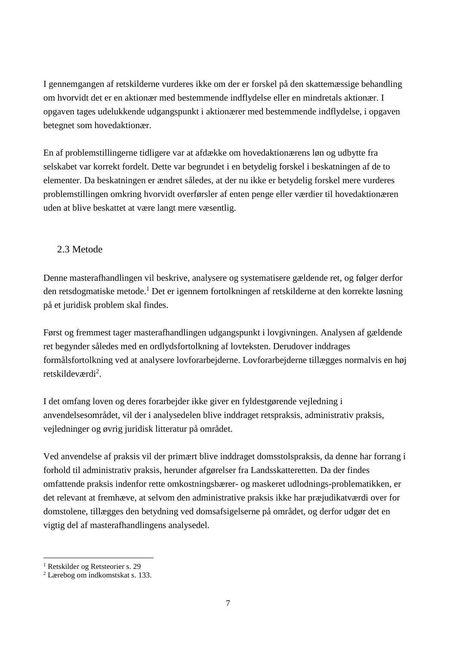I gennemgangen af retskilderne vurderes ikke om der er forskel på den skattemæssige behandling om hvorvidt det er en aktionær med bestemmende indflydelse eller en mindretals aktionær. I opgaven tages udelukkende udgangspunkt i aktionærer med bestemmende indflydelse, i opgaven betegnet som hovedaktionær.

En af problemstillingerne tidligere var at afdække om hovedaktionærens løn og udbytte fra selskabet var korrekt fordelt. Dette var begrundet i en betydelig forskel i beskatningen af de to elementer. Da beskatningen er ændret således, at der nu ikke er betydelig forskel mere vurderes problemstillingen omkring hvorvidt overførsler af enten penge eller værdier til hovedaktionæren uden at blive beskattet at være langt mere væsentlig.

#### 2.3 Metode

Denne masterafhandlingen vil beskrive, analysere og systematisere gældende ret, og følger derfor den retsdogmatiske metode.<sup>1</sup> Det er igennem fortolkningen af retskilderne at den korrekte løsning på et juridisk problem skal findes.

Først og fremmest tager masterafhandlingen udgangspunkt i lovgivningen. Analysen af gældende ret begynder således med en ordlydsfortolkning af lovteksten. Derudover inddrages formålsfortolkning ved at analysere lovforarbejderne. Lovforarbejderne tillægges normalvis en høj retskildeværdi<sup>2</sup>.

I det omfang loven og deres forarbejder ikke giver en fyldestgørende vejledning i anvendelsesområdet, vil der i analysedelen blive inddraget retspraksis, administrativ praksis, vejledninger og øvrig juridisk litteratur på området.

Ved anvendelse af praksis vil der primært blive inddraget domsstolspraksis, da denne har forrang i forhold til administrativ praksis, herunder afgørelser fra Landsskatteretten. Da der findes omfattende praksis indenfor rette omkostningsbærer- og maskeret udlodnings-problematikken, er det relevant at fremhæve, at selvom den administrative praksis ikke har præjudikatværdi over for domstolene, tillægges den betydning ved domsafsigelserne på området, og derfor udgør det en vigtig del af masterafhandlingens analysedel.

 $\overline{a}$ 1 Retskilder og Retsteorier s. 29

<sup>2</sup> Lærebog om indkomstskat s. 133.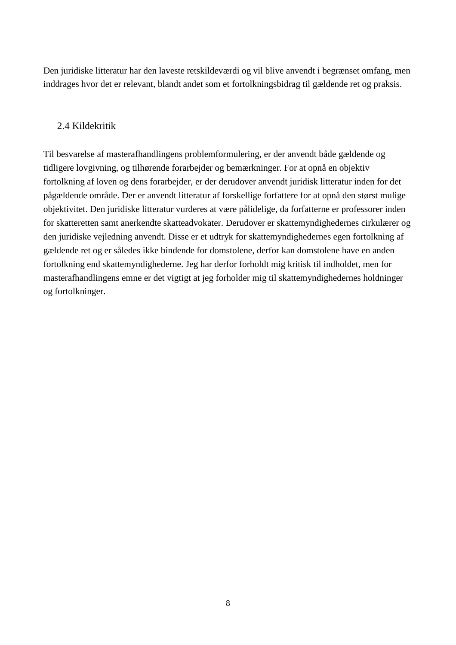Den juridiske litteratur har den laveste retskildeværdi og vil blive anvendt i begrænset omfang, men inddrages hvor det er relevant, blandt andet som et fortolkningsbidrag til gældende ret og praksis.

#### 2.4 Kildekritik

Til besvarelse af masterafhandlingens problemformulering, er der anvendt både gældende og tidligere lovgivning, og tilhørende forarbejder og bemærkninger. For at opnå en objektiv fortolkning af loven og dens forarbejder, er der derudover anvendt juridisk litteratur inden for det pågældende område. Der er anvendt litteratur af forskellige forfattere for at opnå den størst mulige objektivitet. Den juridiske litteratur vurderes at være pålidelige, da forfatterne er professorer inden for skatteretten samt anerkendte skatteadvokater. Derudover er skattemyndighedernes cirkulærer og den juridiske vejledning anvendt. Disse er et udtryk for skattemyndighedernes egen fortolkning af gældende ret og er således ikke bindende for domstolene, derfor kan domstolene have en anden fortolkning end skattemyndighederne. Jeg har derfor forholdt mig kritisk til indholdet, men for masterafhandlingens emne er det vigtigt at jeg forholder mig til skattemyndighedernes holdninger og fortolkninger.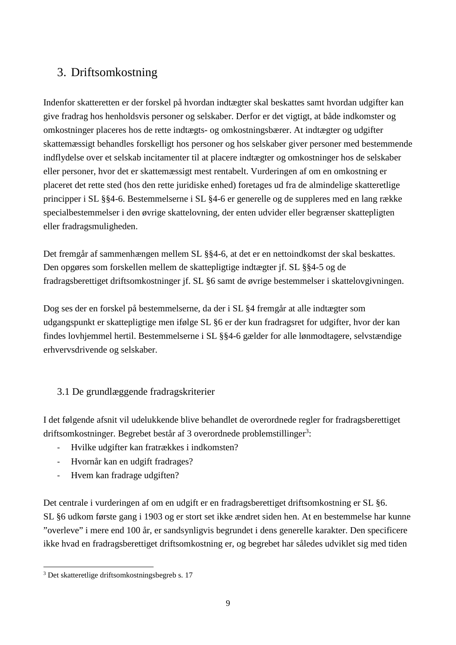## 3. Driftsomkostning

Indenfor skatteretten er der forskel på hvordan indtægter skal beskattes samt hvordan udgifter kan give fradrag hos henholdsvis personer og selskaber. Derfor er det vigtigt, at både indkomster og omkostninger placeres hos de rette indtægts- og omkostningsbærer. At indtægter og udgifter skattemæssigt behandles forskelligt hos personer og hos selskaber giver personer med bestemmende indflydelse over et selskab incitamenter til at placere indtægter og omkostninger hos de selskaber eller personer, hvor det er skattemæssigt mest rentabelt. Vurderingen af om en omkostning er placeret det rette sted (hos den rette juridiske enhed) foretages ud fra de almindelige skatteretlige principper i SL §§4-6. Bestemmelserne i SL §4-6 er generelle og de suppleres med en lang række specialbestemmelser i den øvrige skattelovning, der enten udvider eller begrænser skattepligten eller fradragsmuligheden.

Det fremgår af sammenhængen mellem SL §§4-6, at det er en nettoindkomst der skal beskattes. Den opgøres som forskellen mellem de skattepligtige indtægter jf. SL §§4-5 og de fradragsberettiget driftsomkostninger jf. SL §6 samt de øvrige bestemmelser i skattelovgivningen.

Dog ses der en forskel på bestemmelserne, da der i SL §4 fremgår at alle indtægter som udgangspunkt er skattepligtige men ifølge SL §6 er der kun fradragsret for udgifter, hvor der kan findes lovhjemmel hertil. Bestemmelserne i SL §§4-6 gælder for alle lønmodtagere, selvstændige erhvervsdrivende og selskaber.

#### 3.1 De grundlæggende fradragskriterier

I det følgende afsnit vil udelukkende blive behandlet de overordnede regler for fradragsberettiget driftsomkostninger. Begrebet består af 3 overordnede problemstillinger<sup>3</sup>:

- Hvilke udgifter kan fratrækkes i indkomsten?
- Hvornår kan en udgift fradrages?
- Hvem kan fradrage udgiften?

Det centrale i vurderingen af om en udgift er en fradragsberettiget driftsomkostning er SL §6. SL §6 udkom første gang i 1903 og er stort set ikke ændret siden hen. At en bestemmelse har kunne "overleve" i mere end 100 år, er sandsynligvis begrundet i dens generelle karakter. Den specificere ikke hvad en fradragsberettiget driftsomkostning er, og begrebet har således udviklet sig med tiden

 $\overline{a}$ 3 Det skatteretlige driftsomkostningsbegreb s. 17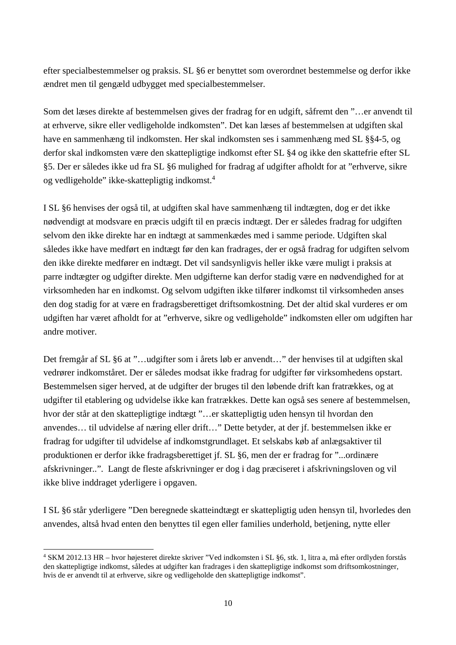efter specialbestemmelser og praksis. SL §6 er benyttet som overordnet bestemmelse og derfor ikke ændret men til gengæld udbygget med specialbestemmelser.

Som det læses direkte af bestemmelsen gives der fradrag for en udgift, såfremt den "…er anvendt til at erhverve, sikre eller vedligeholde indkomsten". Det kan læses af bestemmelsen at udgiften skal have en sammenhæng til indkomsten. Her skal indkomsten ses i sammenhæng med SL §§4-5, og derfor skal indkomsten være den skattepligtige indkomst efter SL §4 og ikke den skattefrie efter SL §5. Der er således ikke ud fra SL §6 mulighed for fradrag af udgifter afholdt for at "erhverve, sikre og vedligeholde" ikke-skattepligtig indkomst.<sup>4</sup>

I SL §6 henvises der også til, at udgiften skal have sammenhæng til indtægten, dog er det ikke nødvendigt at modsvare en præcis udgift til en præcis indtægt. Der er således fradrag for udgiften selvom den ikke direkte har en indtægt at sammenkædes med i samme periode. Udgiften skal således ikke have medført en indtægt før den kan fradrages, der er også fradrag for udgiften selvom den ikke direkte medfører en indtægt. Det vil sandsynligvis heller ikke være muligt i praksis at parre indtægter og udgifter direkte. Men udgifterne kan derfor stadig være en nødvendighed for at virksomheden har en indkomst. Og selvom udgiften ikke tilfører indkomst til virksomheden anses den dog stadig for at være en fradragsberettiget driftsomkostning. Det der altid skal vurderes er om udgiften har været afholdt for at "erhverve, sikre og vedligeholde" indkomsten eller om udgiften har andre motiver.

Det fremgår af SL §6 at "…udgifter som i årets løb er anvendt…" der henvises til at udgiften skal vedrører indkomståret. Der er således modsat ikke fradrag for udgifter før virksomhedens opstart. Bestemmelsen siger herved, at de udgifter der bruges til den løbende drift kan fratrækkes, og at udgifter til etablering og udvidelse ikke kan fratrækkes. Dette kan også ses senere af bestemmelsen, hvor der står at den skattepligtige indtægt "…er skattepligtig uden hensyn til hvordan den anvendes… til udvidelse af næring eller drift…" Dette betyder, at der jf. bestemmelsen ikke er fradrag for udgifter til udvidelse af indkomstgrundlaget. Et selskabs køb af anlægsaktiver til produktionen er derfor ikke fradragsberettiget jf. SL §6, men der er fradrag for "...ordinære afskrivninger..". Langt de fleste afskrivninger er dog i dag præciseret i afskrivningsloven og vil ikke blive inddraget yderligere i opgaven.

I SL §6 står yderligere "Den beregnede skatteindtægt er skattepligtig uden hensyn til, hvorledes den anvendes, altså hvad enten den benyttes til egen eller families underhold, betjening, nytte eller

 $\overline{a}$ 4 SKM 2012.13 HR – hvor højesteret direkte skriver "Ved indkomsten i SL §6, stk. 1, litra a, må efter ordlyden forstås den skattepligtige indkomst, således at udgifter kan fradrages i den skattepligtige indkomst som driftsomkostninger, hvis de er anvendt til at erhverve, sikre og vedligeholde den skattepligtige indkomst".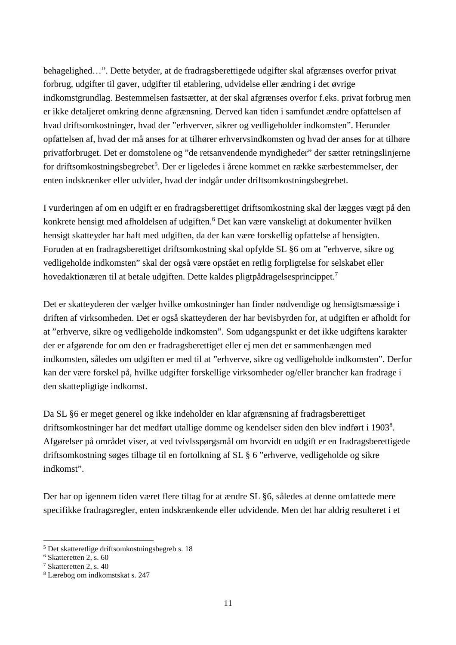behagelighed…". Dette betyder, at de fradragsberettigede udgifter skal afgrænses overfor privat forbrug, udgifter til gaver, udgifter til etablering, udvidelse eller ændring i det øvrige indkomstgrundlag. Bestemmelsen fastsætter, at der skal afgrænses overfor f.eks. privat forbrug men er ikke detaljeret omkring denne afgrænsning. Derved kan tiden i samfundet ændre opfattelsen af hvad driftsomkostninger, hvad der "erhverver, sikrer og vedligeholder indkomsten". Herunder opfattelsen af, hvad der må anses for at tilhører erhvervsindkomsten og hvad der anses for at tilhøre privatforbruget. Det er domstolene og "de retsanvendende myndigheder" der sætter retningslinjerne for driftsomkostningsbegrebet<sup>5</sup>. Der er ligeledes i årene kommet en række særbestemmelser, der enten indskrænker eller udvider, hvad der indgår under driftsomkostningsbegrebet.

I vurderingen af om en udgift er en fradragsberettiget driftsomkostning skal der lægges vægt på den konkrete hensigt med afholdelsen af udgiften.<sup>6</sup> Det kan være vanskeligt at dokumenter hvilken hensigt skatteyder har haft med udgiften, da der kan være forskellig opfattelse af hensigten. Foruden at en fradragsberettiget driftsomkostning skal opfylde SL §6 om at "erhverve, sikre og vedligeholde indkomsten" skal der også være opstået en retlig forpligtelse for selskabet eller hovedaktionæren til at betale udgiften. Dette kaldes pligtpådragelsesprincippet.<sup>7</sup>

Det er skatteyderen der vælger hvilke omkostninger han finder nødvendige og hensigtsmæssige i driften af virksomheden. Det er også skatteyderen der har bevisbyrden for, at udgiften er afholdt for at "erhverve, sikre og vedligeholde indkomsten". Som udgangspunkt er det ikke udgiftens karakter der er afgørende for om den er fradragsberettiget eller ej men det er sammenhængen med indkomsten, således om udgiften er med til at "erhverve, sikre og vedligeholde indkomsten". Derfor kan der være forskel på, hvilke udgifter forskellige virksomheder og/eller brancher kan fradrage i den skattepligtige indkomst.

Da SL §6 er meget generel og ikke indeholder en klar afgrænsning af fradragsberettiget driftsomkostninger har det medført utallige domme og kendelser siden den blev indført i 1903<sup>8</sup>. Afgørelser på området viser, at ved tvivlsspørgsmål om hvorvidt en udgift er en fradragsberettigede driftsomkostning søges tilbage til en fortolkning af SL § 6 "erhverve, vedligeholde og sikre indkomst".

Der har op igennem tiden været flere tiltag for at ændre SL §6, således at denne omfattede mere specifikke fradragsregler, enten indskrænkende eller udvidende. Men det har aldrig resulteret i et

 $\overline{a}$ 5 Det skatteretlige driftsomkostningsbegreb s. 18

<sup>6</sup> Skatteretten 2, s. 60

<sup>7</sup> Skatteretten 2, s. 40

<sup>8</sup> Lærebog om indkomstskat s. 247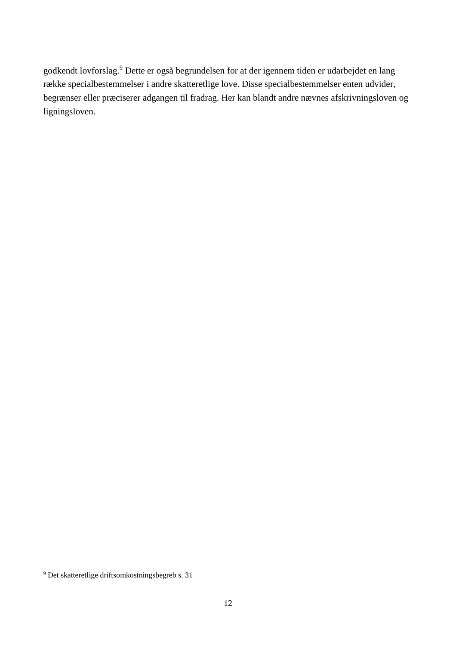godkendt lovforslag.<sup>9</sup> Dette er også begrundelsen for at der igennem tiden er udarbejdet en lang række specialbestemmelser i andre skatteretlige love. Disse specialbestemmelser enten udvider, begrænser eller præciserer adgangen til fradrag. Her kan blandt andre nævnes afskrivningsloven og ligningsloven.

 9 Det skatteretlige driftsomkostningsbegreb s. 31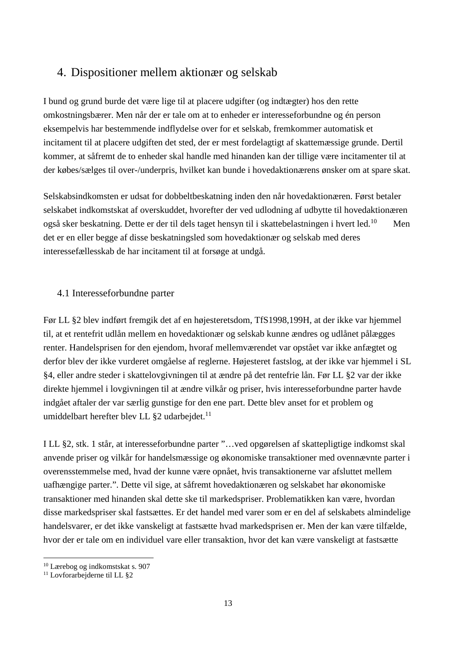## 4. Dispositioner mellem aktionær og selskab

I bund og grund burde det være lige til at placere udgifter (og indtægter) hos den rette omkostningsbærer. Men når der er tale om at to enheder er interesseforbundne og én person eksempelvis har bestemmende indflydelse over for et selskab, fremkommer automatisk et incitament til at placere udgiften det sted, der er mest fordelagtigt af skattemæssige grunde. Dertil kommer, at såfremt de to enheder skal handle med hinanden kan der tillige være incitamenter til at der købes/sælges til over-/underpris, hvilket kan bunde i hovedaktionærens ønsker om at spare skat.

Selskabsindkomsten er udsat for dobbeltbeskatning inden den når hovedaktionæren. Først betaler selskabet indkomstskat af overskuddet, hvorefter der ved udlodning af udbytte til hovedaktionæren også sker beskatning. Dette er der til dels taget hensyn til i skattebelastningen i hvert led.<sup>10</sup> Men det er en eller begge af disse beskatningsled som hovedaktionær og selskab med deres interessefællesskab de har incitament til at forsøge at undgå.

#### 4.1 Interesseforbundne parter

Før LL §2 blev indført fremgik det af en højesteretsdom, TfS1998,199H, at der ikke var hjemmel til, at et rentefrit udlån mellem en hovedaktionær og selskab kunne ændres og udlånet pålægges renter. Handelsprisen for den ejendom, hvoraf mellemværendet var opstået var ikke anfægtet og derfor blev der ikke vurderet omgåelse af reglerne. Højesteret fastslog, at der ikke var hjemmel i SL §4, eller andre steder i skattelovgivningen til at ændre på det rentefrie lån. Før LL §2 var der ikke direkte hjemmel i lovgivningen til at ændre vilkår og priser, hvis interesseforbundne parter havde indgået aftaler der var særlig gunstige for den ene part. Dette blev anset for et problem og umiddelbart herefter blev LL  $\S2$  udarbejdet.<sup>11</sup>

I LL §2, stk. 1 står, at interesseforbundne parter "…ved opgørelsen af skattepligtige indkomst skal anvende priser og vilkår for handelsmæssige og økonomiske transaktioner med ovennævnte parter i overensstemmelse med, hvad der kunne være opnået, hvis transaktionerne var afsluttet mellem uafhængige parter.". Dette vil sige, at såfremt hovedaktionæren og selskabet har økonomiske transaktioner med hinanden skal dette ske til markedspriser. Problematikken kan være, hvordan disse markedspriser skal fastsættes. Er det handel med varer som er en del af selskabets almindelige handelsvarer, er det ikke vanskeligt at fastsætte hvad markedsprisen er. Men der kan være tilfælde, hvor der er tale om en individuel vare eller transaktion, hvor det kan være vanskeligt at fastsætte

 $\overline{a}$ <sup>10</sup> Lærebog og indkomstskat s. 907

<sup>11</sup> Lovforarbejderne til LL §2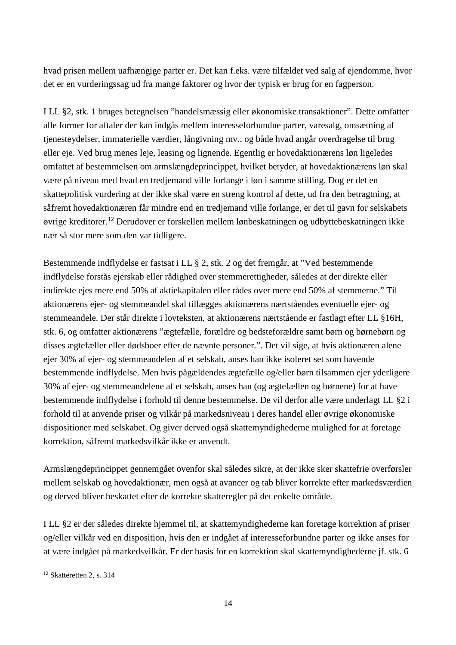hvad prisen mellem uafhængige parter er. Det kan f.eks. være tilfældet ved salg af ejendomme, hvor det er en vurderingssag ud fra mange faktorer og hvor der typisk er brug for en fagperson.

I LL §2, stk. 1 bruges betegnelsen "handelsmæssig eller økonomiske transaktioner". Dette omfatter alle former for aftaler der kan indgås mellem interesseforbundne parter, varesalg, omsætning af tjenesteydelser, immaterielle værdier, långivning mv., og både hvad angår overdragelse til brug eller eje. Ved brug menes leje, leasing og lignende. Egentlig er hovedaktionærens løn ligeledes omfattet af bestemmelsen om armslængdeprincippet, hvilket betyder, at hovedaktionærens løn skal være på niveau med hvad en tredjemand ville forlange i løn i samme stilling. Dog er det en skattepolitisk vurdering at der ikke skal være en streng kontrol af dette, ud fra den betragtning, at såfremt hovedaktionæren får mindre end en tredjemand ville forlange, er det til gavn for selskabets øvrige kreditorer.<sup>12</sup> Derudover er forskellen mellem lønbeskatningen og udbyttebeskatningen ikke nær så stor mere som den var tidligere.

Bestemmende indflydelse er fastsat i LL § 2, stk. 2 og det fremgår, at "Ved bestemmende indflydelse forstås ejerskab eller rådighed over stemmerettigheder, således at der direkte eller indirekte ejes mere end 50% af aktiekapitalen eller rådes over mere end 50% af stemmerne." Til aktionærens ejer- og stemmeandel skal tillægges aktionærens nærtståendes eventuelle ejer- og stemmeandele. Der står direkte i lovteksten, at aktionærens nærtstående er fastlagt efter LL §16H, stk. 6, og omfatter aktionærens "ægtefælle, forældre og bedsteforældre samt børn og børnebørn og disses ægtefæller eller dødsboer efter de nævnte personer.". Det vil sige, at hvis aktionæren alene ejer 30% af ejer- og stemmeandelen af et selskab, anses han ikke isoleret set som havende bestemmende indflydelse. Men hvis pågældendes ægtefælle og/eller børn tilsammen ejer yderligere 30% af ejer- og stemmeandelene af et selskab, anses han (og ægtefællen og børnene) for at have bestemmende indflydelse i forhold til denne bestemmelse. De vil derfor alle være underlagt LL §2 i forhold til at anvende priser og vilkår på markedsniveau i deres handel eller øvrige økonomiske dispositioner med selskabet. Og giver derved også skattemyndighederne mulighed for at foretage korrektion, såfremt markedsvilkår ikke er anvendt.

Armslængdeprincippet gennemgået ovenfor skal således sikre, at der ikke sker skattefrie overførsler mellem selskab og hovedaktionær, men også at avancer og tab bliver korrekte efter markedsværdien og derved bliver beskattet efter de korrekte skatteregler på det enkelte område.

I LL §2 er der således direkte hjemmel til, at skattemyndighederne kan foretage korrektion af priser og/eller vilkår ved en disposition, hvis den er indgået af interesseforbundne parter og ikke anses for at være indgået på markedsvilkår. Er der basis for en korrektion skal skattemyndighederne jf. stk. 6

 $\overline{a}$ 12 Skatteretten 2, s. 314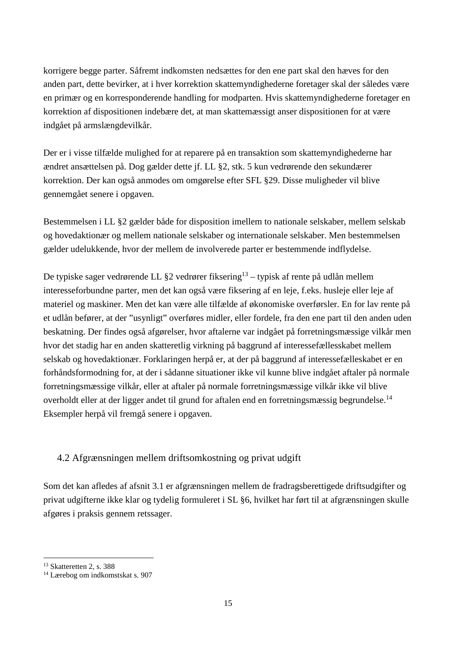korrigere begge parter. Såfremt indkomsten nedsættes for den ene part skal den hæves for den anden part, dette bevirker, at i hver korrektion skattemyndighederne foretager skal der således være en primær og en korresponderende handling for modparten. Hvis skattemyndighederne foretager en korrektion af dispositionen indebære det, at man skattemæssigt anser dispositionen for at være indgået på armslængdevilkår.

Der er i visse tilfælde mulighed for at reparere på en transaktion som skattemyndighederne har ændret ansættelsen på. Dog gælder dette jf. LL §2, stk. 5 kun vedrørende den sekundærer korrektion. Der kan også anmodes om omgørelse efter SFL §29. Disse muligheder vil blive gennemgået senere i opgaven.

Bestemmelsen i LL §2 gælder både for disposition imellem to nationale selskaber, mellem selskab og hovedaktionær og mellem nationale selskaber og internationale selskaber. Men bestemmelsen gælder udelukkende, hvor der mellem de involverede parter er bestemmende indflydelse.

De typiske sager vedrørende LL §2 vedrører fiksering<sup>13</sup> – typisk af rente på udlån mellem interesseforbundne parter, men det kan også være fiksering af en leje, f.eks. husleje eller leje af materiel og maskiner. Men det kan være alle tilfælde af økonomiske overførsler. En for lav rente på et udlån befører, at der "usynligt" overføres midler, eller fordele, fra den ene part til den anden uden beskatning. Der findes også afgørelser, hvor aftalerne var indgået på forretningsmæssige vilkår men hvor det stadig har en anden skatteretlig virkning på baggrund af interessefællesskabet mellem selskab og hovedaktionær. Forklaringen herpå er, at der på baggrund af interessefælleskabet er en forhåndsformodning for, at der i sådanne situationer ikke vil kunne blive indgået aftaler på normale forretningsmæssige vilkår, eller at aftaler på normale forretningsmæssige vilkår ikke vil blive overholdt eller at der ligger andet til grund for aftalen end en forretningsmæssig begrundelse.<sup>14</sup> Eksempler herpå vil fremgå senere i opgaven.

#### 4.2 Afgrænsningen mellem driftsomkostning og privat udgift

Som det kan afledes af afsnit 3.1 er afgrænsningen mellem de fradragsberettigede driftsudgifter og privat udgifterne ikke klar og tydelig formuleret i SL §6, hvilket har ført til at afgrænsningen skulle afgøres i praksis gennem retssager.

 $\overline{a}$ <sup>13</sup> Skatteretten 2, s. 388

<sup>14</sup> Lærebog om indkomstskat s. 907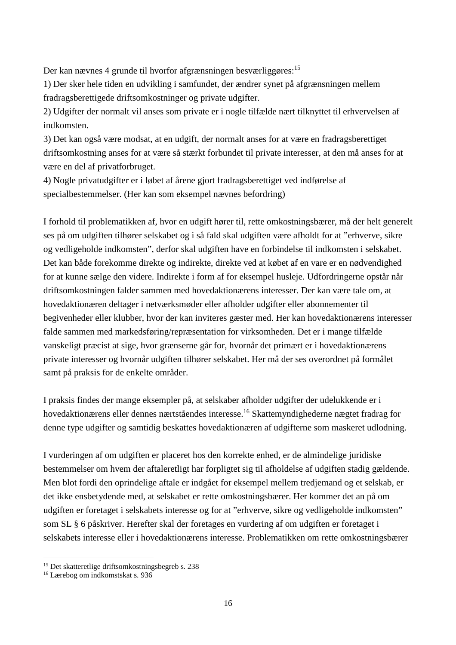Der kan nævnes 4 grunde til hvorfor afgrænsningen besværliggøres:<sup>15</sup>

1) Der sker hele tiden en udvikling i samfundet, der ændrer synet på afgrænsningen mellem fradragsberettigede driftsomkostninger og private udgifter.

2) Udgifter der normalt vil anses som private er i nogle tilfælde nært tilknyttet til erhvervelsen af indkomsten.

3) Det kan også være modsat, at en udgift, der normalt anses for at være en fradragsberettiget driftsomkostning anses for at være så stærkt forbundet til private interesser, at den må anses for at være en del af privatforbruget.

4) Nogle privatudgifter er i løbet af årene gjort fradragsberettiget ved indførelse af specialbestemmelser. (Her kan som eksempel nævnes befordring)

I forhold til problematikken af, hvor en udgift hører til, rette omkostningsbærer, må der helt generelt ses på om udgiften tilhører selskabet og i så fald skal udgiften være afholdt for at "erhverve, sikre og vedligeholde indkomsten", derfor skal udgiften have en forbindelse til indkomsten i selskabet. Det kan både forekomme direkte og indirekte, direkte ved at købet af en vare er en nødvendighed for at kunne sælge den videre. Indirekte i form af for eksempel husleje. Udfordringerne opstår når driftsomkostningen falder sammen med hovedaktionærens interesser. Der kan være tale om, at hovedaktionæren deltager i netværksmøder eller afholder udgifter eller abonnementer til begivenheder eller klubber, hvor der kan inviteres gæster med. Her kan hovedaktionærens interesser falde sammen med markedsføring/repræsentation for virksomheden. Det er i mange tilfælde vanskeligt præcist at sige, hvor grænserne går for, hvornår det primært er i hovedaktionærens private interesser og hvornår udgiften tilhører selskabet. Her må der ses overordnet på formålet samt på praksis for de enkelte områder.

I praksis findes der mange eksempler på, at selskaber afholder udgifter der udelukkende er i hovedaktionærens eller dennes nærtståendes interesse.<sup>16</sup> Skattemyndighederne nægtet fradrag for denne type udgifter og samtidig beskattes hovedaktionæren af udgifterne som maskeret udlodning.

I vurderingen af om udgiften er placeret hos den korrekte enhed, er de almindelige juridiske bestemmelser om hvem der aftaleretligt har forpligtet sig til afholdelse af udgiften stadig gældende. Men blot fordi den oprindelige aftale er indgået for eksempel mellem tredjemand og et selskab, er det ikke ensbetydende med, at selskabet er rette omkostningsbærer. Her kommer det an på om udgiften er foretaget i selskabets interesse og for at "erhverve, sikre og vedligeholde indkomsten" som SL § 6 påskriver. Herefter skal der foretages en vurdering af om udgiften er foretaget i selskabets interesse eller i hovedaktionærens interesse. Problematikken om rette omkostningsbærer

<sup>15</sup> Det skatteretlige driftsomkostningsbegreb s. 238

<sup>16</sup> Lærebog om indkomstskat s. 936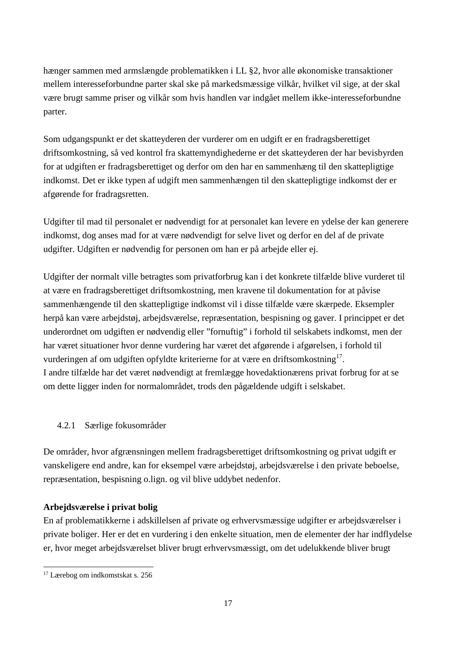hænger sammen med armslængde problematikken i LL §2, hvor alle økonomiske transaktioner mellem interesseforbundne parter skal ske på markedsmæssige vilkår, hvilket vil sige, at der skal være brugt samme priser og vilkår som hvis handlen var indgået mellem ikke-interesseforbundne parter.

Som udgangspunkt er det skatteyderen der vurderer om en udgift er en fradragsberettiget driftsomkostning, så ved kontrol fra skattemyndighederne er det skatteyderen der har bevisbyrden for at udgiften er fradragsberettiget og derfor om den har en sammenhæng til den skattepligtige indkomst. Det er ikke typen af udgift men sammenhængen til den skattepligtige indkomst der er afgørende for fradragsretten.

Udgifter til mad til personalet er nødvendigt for at personalet kan levere en ydelse der kan generere indkomst, dog anses mad for at være nødvendigt for selve livet og derfor en del af de private udgifter. Udgiften er nødvendig for personen om han er på arbejde eller ej.

Udgifter der normalt ville betragtes som privatforbrug kan i det konkrete tilfælde blive vurderet til at være en fradragsberettiget driftsomkostning, men kravene til dokumentation for at påvise sammenhængende til den skattepligtige indkomst vil i disse tilfælde være skærpede. Eksempler herpå kan være arbejdstøj, arbejdsværelse, repræsentation, bespisning og gaver. I princippet er det underordnet om udgiften er nødvendig eller "fornuftig" i forhold til selskabets indkomst, men der har været situationer hvor denne vurdering har været det afgørende i afgørelsen, i forhold til vurderingen af om udgiften opfyldte kriterierne for at være en driftsomkostning<sup>17</sup>. I andre tilfælde har det været nødvendigt at fremlægge hovedaktionærens privat forbrug for at se om dette ligger inden for normalområdet, trods den pågældende udgift i selskabet.

#### 4.2.1 Særlige fokusområder

De områder, hvor afgrænsningen mellem fradragsberettiget driftsomkostning og privat udgift er vanskeligere end andre, kan for eksempel være arbejdstøj, arbejdsværelse i den private beboelse, repræsentation, bespisning o.lign. og vil blive uddybet nedenfor.

#### **Arbejdsværelse i privat bolig**

En af problematikkerne i adskillelsen af private og erhvervsmæssige udgifter er arbejdsværelser i private boliger. Her er det en vurdering i den enkelte situation, men de elementer der har indflydelse er, hvor meget arbejdsværelset bliver brugt erhvervsmæssigt, om det udelukkende bliver brugt

 $\overline{a}$ 17 Lærebog om indkomstskat s. 256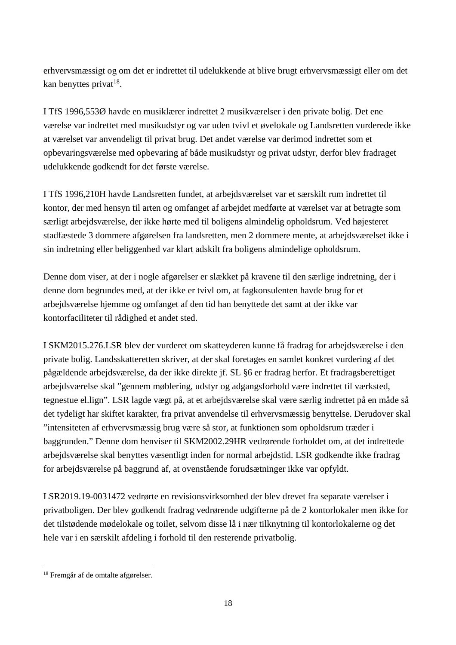erhvervsmæssigt og om det er indrettet til udelukkende at blive brugt erhvervsmæssigt eller om det kan benyttes privat<sup>18</sup>.

I TfS 1996,553Ø havde en musiklærer indrettet 2 musikværelser i den private bolig. Det ene værelse var indrettet med musikudstyr og var uden tvivl et øvelokale og Landsretten vurderede ikke at værelset var anvendeligt til privat brug. Det andet værelse var derimod indrettet som et opbevaringsværelse med opbevaring af både musikudstyr og privat udstyr, derfor blev fradraget udelukkende godkendt for det første værelse.

I TfS 1996,210H havde Landsretten fundet, at arbejdsværelset var et særskilt rum indrettet til kontor, der med hensyn til arten og omfanget af arbejdet medførte at værelset var at betragte som særligt arbejdsværelse, der ikke hørte med til boligens almindelig opholdsrum. Ved højesteret stadfæstede 3 dommere afgørelsen fra landsretten, men 2 dommere mente, at arbejdsværelset ikke i sin indretning eller beliggenhed var klart adskilt fra boligens almindelige opholdsrum.

Denne dom viser, at der i nogle afgørelser er slækket på kravene til den særlige indretning, der i denne dom begrundes med, at der ikke er tvivl om, at fagkonsulenten havde brug for et arbejdsværelse hjemme og omfanget af den tid han benyttede det samt at der ikke var kontorfaciliteter til rådighed et andet sted.

I SKM2015.276.LSR blev der vurderet om skatteyderen kunne få fradrag for arbejdsværelse i den private bolig. Landsskatteretten skriver, at der skal foretages en samlet konkret vurdering af det pågældende arbejdsværelse, da der ikke direkte jf. SL §6 er fradrag herfor. Et fradragsberettiget arbejdsværelse skal "gennem møblering, udstyr og adgangsforhold være indrettet til værksted, tegnestue el.lign". LSR lagde vægt på, at et arbejdsværelse skal være særlig indrettet på en måde så det tydeligt har skiftet karakter, fra privat anvendelse til erhvervsmæssig benyttelse. Derudover skal "intensiteten af erhvervsmæssig brug være så stor, at funktionen som opholdsrum træder i baggrunden." Denne dom henviser til SKM2002.29HR vedrørende forholdet om, at det indrettede arbejdsværelse skal benyttes væsentligt inden for normal arbejdstid. LSR godkendte ikke fradrag for arbejdsværelse på baggrund af, at ovenstående forudsætninger ikke var opfyldt.

LSR2019.19-0031472 vedrørte en revisionsvirksomhed der blev drevet fra separate værelser i privatboligen. Der blev godkendt fradrag vedrørende udgifterne på de 2 kontorlokaler men ikke for det tilstødende mødelokale og toilet, selvom disse lå i nær tilknytning til kontorlokalerne og det hele var i en særskilt afdeling i forhold til den resterende privatbolig.

 $\overline{a}$ <sup>18</sup> Fremgår af de omtalte afgørelser.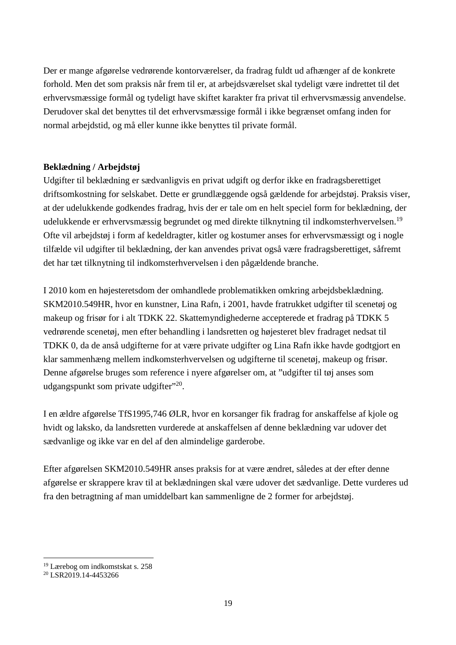Der er mange afgørelse vedrørende kontorværelser, da fradrag fuldt ud afhænger af de konkrete forhold. Men det som praksis når frem til er, at arbejdsværelset skal tydeligt være indrettet til det erhvervsmæssige formål og tydeligt have skiftet karakter fra privat til erhvervsmæssig anvendelse. Derudover skal det benyttes til det erhvervsmæssige formål i ikke begrænset omfang inden for normal arbejdstid, og må eller kunne ikke benyttes til private formål.

#### **Beklædning / Arbejdstøj**

Udgifter til beklædning er sædvanligvis en privat udgift og derfor ikke en fradragsberettiget driftsomkostning for selskabet. Dette er grundlæggende også gældende for arbejdstøj. Praksis viser, at der udelukkende godkendes fradrag, hvis der er tale om en helt speciel form for beklædning, der udelukkende er erhvervsmæssig begrundet og med direkte tilknytning til indkomsterhvervelsen.<sup>19</sup> Ofte vil arbejdstøj i form af kedeldragter, kitler og kostumer anses for erhvervsmæssigt og i nogle tilfælde vil udgifter til beklædning, der kan anvendes privat også være fradragsberettiget, såfremt det har tæt tilknytning til indkomsterhvervelsen i den pågældende branche.

I 2010 kom en højesteretsdom der omhandlede problematikken omkring arbejdsbeklædning. SKM2010.549HR, hvor en kunstner, Lina Rafn, i 2001, havde fratrukket udgifter til scenetøj og makeup og frisør for i alt TDKK 22. Skattemyndighederne accepterede et fradrag på TDKK 5 vedrørende scenetøj, men efter behandling i landsretten og højesteret blev fradraget nedsat til TDKK 0, da de anså udgifterne for at være private udgifter og Lina Rafn ikke havde godtgjort en klar sammenhæng mellem indkomsterhvervelsen og udgifterne til scenetøj, makeup og frisør. Denne afgørelse bruges som reference i nyere afgørelser om, at "udgifter til tøj anses som udgangspunkt som private udgifter"<sup>20</sup>.

I en ældre afgørelse TfS1995,746 ØLR, hvor en korsanger fik fradrag for anskaffelse af kjole og hvidt og laksko, da landsretten vurderede at anskaffelsen af denne beklædning var udover det sædvanlige og ikke var en del af den almindelige garderobe.

Efter afgørelsen SKM2010.549HR anses praksis for at være ændret, således at der efter denne afgørelse er skrappere krav til at beklædningen skal være udover det sædvanlige. Dette vurderes ud fra den betragtning af man umiddelbart kan sammenligne de 2 former for arbejdstøj.

<sup>19</sup> Lærebog om indkomstskat s. 258

<sup>20</sup> LSR2019.14-4453266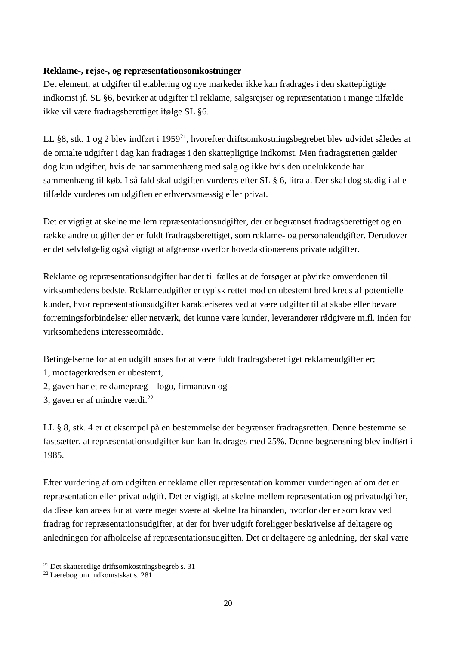#### **Reklame-, rejse-, og repræsentationsomkostninger**

Det element, at udgifter til etablering og nye markeder ikke kan fradrages i den skattepligtige indkomst jf. SL §6, bevirker at udgifter til reklame, salgsrejser og repræsentation i mange tilfælde ikke vil være fradragsberettiget ifølge SL §6.

LL §8, stk. 1 og 2 blev indført i 1959<sup>21</sup>, hvorefter driftsomkostningsbegrebet blev udvidet således at de omtalte udgifter i dag kan fradrages i den skattepligtige indkomst. Men fradragsretten gælder dog kun udgifter, hvis de har sammenhæng med salg og ikke hvis den udelukkende har sammenhæng til køb. I så fald skal udgiften vurderes efter SL § 6, litra a. Der skal dog stadig i alle tilfælde vurderes om udgiften er erhvervsmæssig eller privat.

Det er vigtigt at skelne mellem repræsentationsudgifter, der er begrænset fradragsberettiget og en række andre udgifter der er fuldt fradragsberettiget, som reklame- og personaleudgifter. Derudover er det selvfølgelig også vigtigt at afgrænse overfor hovedaktionærens private udgifter.

Reklame og repræsentationsudgifter har det til fælles at de forsøger at påvirke omverdenen til virksomhedens bedste. Reklameudgifter er typisk rettet mod en ubestemt bred kreds af potentielle kunder, hvor repræsentationsudgifter karakteriseres ved at være udgifter til at skabe eller bevare forretningsforbindelser eller netværk, det kunne være kunder, leverandører rådgivere m.fl. inden for virksomhedens interesseområde.

Betingelserne for at en udgift anses for at være fuldt fradragsberettiget reklameudgifter er;

1, modtagerkredsen er ubestemt,

2, gaven har et reklamepræg – logo, firmanavn og

3, gaven er af mindre værdi.<sup>22</sup>

LL § 8, stk. 4 er et eksempel på en bestemmelse der begrænser fradragsretten. Denne bestemmelse fastsætter, at repræsentationsudgifter kun kan fradrages med 25%. Denne begrænsning blev indført i 1985.

Efter vurdering af om udgiften er reklame eller repræsentation kommer vurderingen af om det er repræsentation eller privat udgift. Det er vigtigt, at skelne mellem repræsentation og privatudgifter, da disse kan anses for at være meget svære at skelne fra hinanden, hvorfor der er som krav ved fradrag for repræsentationsudgifter, at der for hver udgift foreligger beskrivelse af deltagere og anledningen for afholdelse af repræsentationsudgiften. Det er deltagere og anledning, der skal være

<sup>21</sup> Det skatteretlige driftsomkostningsbegreb s. 31

<sup>22</sup> Lærebog om indkomstskat s. 281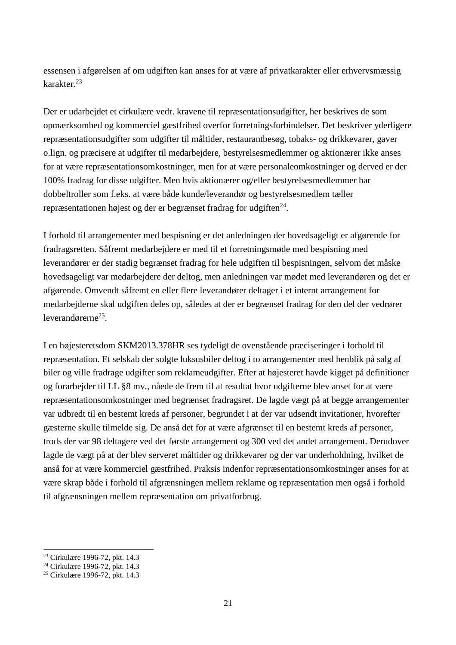essensen i afgørelsen af om udgiften kan anses for at være af privatkarakter eller erhvervsmæssig karakter.<sup>23</sup>

Der er udarbejdet et cirkulære vedr. kravene til repræsentationsudgifter, her beskrives de som opmærksomhed og kommerciel gæstfrihed overfor forretningsforbindelser. Det beskriver yderligere repræsentationsudgifter som udgifter til måltider, restaurantbesøg, tobaks- og drikkevarer, gaver o.lign. og præcisere at udgifter til medarbejdere, bestyrelsesmedlemmer og aktionærer ikke anses for at være repræsentationsomkostninger, men for at være personaleomkostninger og derved er der 100% fradrag for disse udgifter. Men hvis aktionærer og/eller bestyrelsesmedlemmer har dobbeltroller som f.eks. at være både kunde/leverandør og bestyrelsesmedlem tæller repræsentationen højest og der er begrænset fradrag for udgiften $^{24}$ .

I forhold til arrangementer med bespisning er det anledningen der hovedsageligt er afgørende for fradragsretten. Såfremt medarbejdere er med til et forretningsmøde med bespisning med leverandører er der stadig begrænset fradrag for hele udgiften til bespisningen, selvom det måske hovedsageligt var medarbejdere der deltog, men anledningen var mødet med leverandøren og det er afgørende. Omvendt såfremt en eller flere leverandører deltager i et internt arrangement for medarbejderne skal udgiften deles op, således at der er begrænset fradrag for den del der vedrører leverandørerne<sup>25</sup>.

I en højesteretsdom SKM2013.378HR ses tydeligt de ovenstående præciseringer i forhold til repræsentation. Et selskab der solgte luksusbiler deltog i to arrangementer med henblik på salg af biler og ville fradrage udgifter som reklameudgifter. Efter at højesteret havde kigget på definitioner og forarbejder til LL §8 mv., nåede de frem til at resultat hvor udgifterne blev anset for at være repræsentationsomkostninger med begrænset fradragsret. De lagde vægt på at begge arrangementer var udbredt til en bestemt kreds af personer, begrundet i at der var udsendt invitationer, hvorefter gæsterne skulle tilmelde sig. De anså det for at være afgrænset til en bestemt kreds af personer, trods der var 98 deltagere ved det første arrangement og 300 ved det andet arrangement. Derudover lagde de vægt på at der blev serveret måltider og drikkevarer og der var underholdning, hvilket de anså for at være kommerciel gæstfrihed. Praksis indenfor repræsentationsomkostninger anses for at være skrap både i forhold til afgrænsningen mellem reklame og repræsentation men også i forhold til afgrænsningen mellem repræsentation om privatforbrug.

<sup>23</sup> Cirkulære 1996-72, pkt. 14.3

<sup>24</sup> Cirkulære 1996-72, pkt. 14.3

<sup>25</sup> Cirkulære 1996-72, pkt. 14.3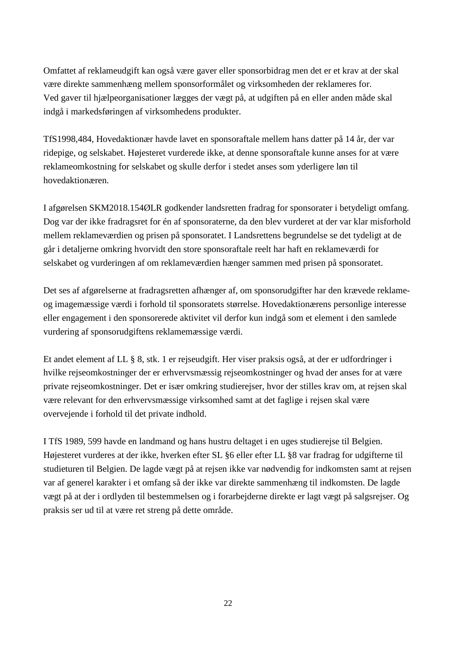Omfattet af reklameudgift kan også være gaver eller sponsorbidrag men det er et krav at der skal være direkte sammenhæng mellem sponsorformålet og virksomheden der reklameres for. Ved gaver til hjælpeorganisationer lægges der vægt på, at udgiften på en eller anden måde skal indgå i markedsføringen af virksomhedens produkter.

TfS1998,484, Hovedaktionær havde lavet en sponsoraftale mellem hans datter på 14 år, der var ridepige, og selskabet. Højesteret vurderede ikke, at denne sponsoraftale kunne anses for at være reklameomkostning for selskabet og skulle derfor i stedet anses som yderligere løn til hovedaktionæren.

I afgørelsen SKM2018.154ØLR godkender landsretten fradrag for sponsorater i betydeligt omfang. Dog var der ikke fradragsret for én af sponsoraterne, da den blev vurderet at der var klar misforhold mellem reklameværdien og prisen på sponsoratet. I Landsrettens begrundelse se det tydeligt at de går i detaljerne omkring hvorvidt den store sponsoraftale reelt har haft en reklameværdi for selskabet og vurderingen af om reklameværdien hænger sammen med prisen på sponsoratet.

Det ses af afgørelserne at fradragsretten afhænger af, om sponsorudgifter har den krævede reklameog imagemæssige værdi i forhold til sponsoratets størrelse. Hovedaktionærens personlige interesse eller engagement i den sponsorerede aktivitet vil derfor kun indgå som et element i den samlede vurdering af sponsorudgiftens reklamemæssige værdi.

Et andet element af LL § 8, stk. 1 er rejseudgift. Her viser praksis også, at der er udfordringer i hvilke rejseomkostninger der er erhvervsmæssig rejseomkostninger og hvad der anses for at være private rejseomkostninger. Det er især omkring studierejser, hvor der stilles krav om, at rejsen skal være relevant for den erhvervsmæssige virksomhed samt at det faglige i rejsen skal være overvejende i forhold til det private indhold.

I TfS 1989, 599 havde en landmand og hans hustru deltaget i en uges studierejse til Belgien. Højesteret vurderes at der ikke, hverken efter SL §6 eller efter LL §8 var fradrag for udgifterne til studieturen til Belgien. De lagde vægt på at rejsen ikke var nødvendig for indkomsten samt at rejsen var af generel karakter i et omfang så der ikke var direkte sammenhæng til indkomsten. De lagde vægt på at der i ordlyden til bestemmelsen og i forarbejderne direkte er lagt vægt på salgsrejser. Og praksis ser ud til at være ret streng på dette område.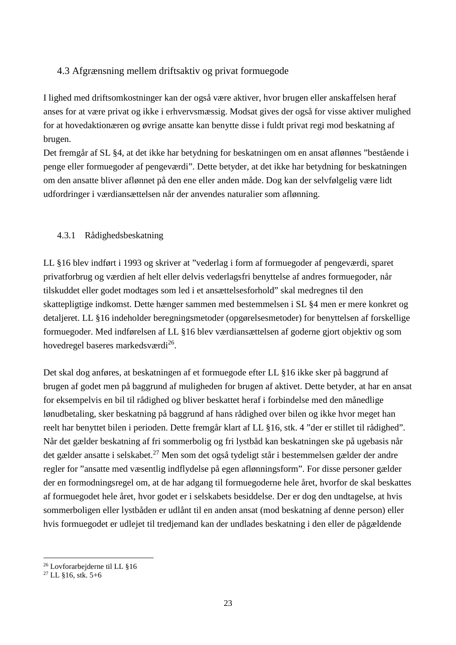#### 4.3 Afgrænsning mellem driftsaktiv og privat formuegode

I lighed med driftsomkostninger kan der også være aktiver, hvor brugen eller anskaffelsen heraf anses for at være privat og ikke i erhvervsmæssig. Modsat gives der også for visse aktiver mulighed for at hovedaktionæren og øvrige ansatte kan benytte disse i fuldt privat regi mod beskatning af brugen.

Det fremgår af SL §4, at det ikke har betydning for beskatningen om en ansat aflønnes "bestående i penge eller formuegoder af pengeværdi". Dette betyder, at det ikke har betydning for beskatningen om den ansatte bliver aflønnet på den ene eller anden måde. Dog kan der selvfølgelig være lidt udfordringer i værdiansættelsen når der anvendes naturalier som aflønning.

#### 4.3.1 Rådighedsbeskatning

LL §16 blev indført i 1993 og skriver at "vederlag i form af formuegoder af pengeværdi, sparet privatforbrug og værdien af helt eller delvis vederlagsfri benyttelse af andres formuegoder, når tilskuddet eller godet modtages som led i et ansættelsesforhold" skal medregnes til den skattepligtige indkomst. Dette hænger sammen med bestemmelsen i SL §4 men er mere konkret og detaljeret. LL §16 indeholder beregningsmetoder (opgørelsesmetoder) for benyttelsen af forskellige formuegoder. Med indførelsen af LL §16 blev værdiansættelsen af goderne gjort objektiv og som hovedregel baseres markedsværdi<sup>26</sup>.

Det skal dog anføres, at beskatningen af et formuegode efter LL §16 ikke sker på baggrund af brugen af godet men på baggrund af muligheden for brugen af aktivet. Dette betyder, at har en ansat for eksempelvis en bil til rådighed og bliver beskattet heraf i forbindelse med den månedlige lønudbetaling, sker beskatning på baggrund af hans rådighed over bilen og ikke hvor meget han reelt har benyttet bilen i perioden. Dette fremgår klart af LL §16, stk. 4 "der er stillet til rådighed". Når det gælder beskatning af fri sommerbolig og fri lystbåd kan beskatningen ske på ugebasis når det gælder ansatte i selskabet.<sup>27</sup> Men som det også tydeligt står i bestemmelsen gælder der andre regler for "ansatte med væsentlig indflydelse på egen aflønningsform". For disse personer gælder der en formodningsregel om, at de har adgang til formuegoderne hele året, hvorfor de skal beskattes af formuegodet hele året, hvor godet er i selskabets besiddelse. Der er dog den undtagelse, at hvis sommerboligen eller lystbåden er udlånt til en anden ansat (mod beskatning af denne person) eller hvis formuegodet er udlejet til tredjemand kan der undlades beskatning i den eller de pågældende

 $\overline{a}$ <sup>26</sup> Lovforarbejderne til LL §16

 $27$  LL §16, stk. 5+6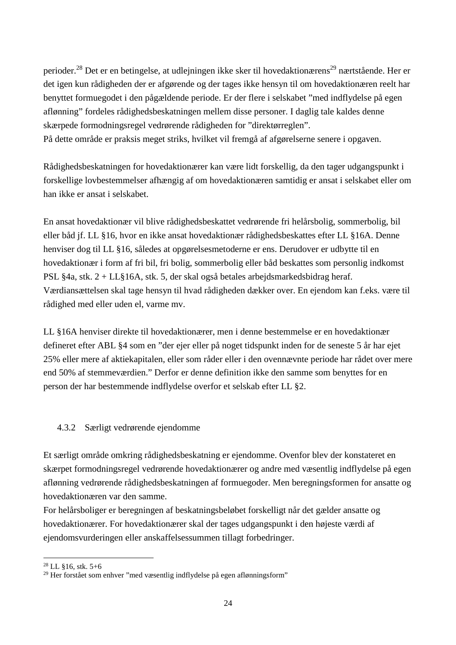perioder.<sup>28</sup> Det er en betingelse, at udlejningen ikke sker til hovedaktionærens<sup>29</sup> nærtstående. Her er det igen kun rådigheden der er afgørende og der tages ikke hensyn til om hovedaktionæren reelt har benyttet formuegodet i den pågældende periode. Er der flere i selskabet "med indflydelse på egen aflønning" fordeles rådighedsbeskatningen mellem disse personer. I daglig tale kaldes denne skærpede formodningsregel vedrørende rådigheden for "direktørreglen". På dette område er praksis meget striks, hvilket vil fremgå af afgørelserne senere i opgaven.

Rådighedsbeskatningen for hovedaktionærer kan være lidt forskellig, da den tager udgangspunkt i forskellige lovbestemmelser afhængig af om hovedaktionæren samtidig er ansat i selskabet eller om han ikke er ansat i selskabet.

En ansat hovedaktionær vil blive rådighedsbeskattet vedrørende fri helårsbolig, sommerbolig, bil eller båd jf. LL §16, hvor en ikke ansat hovedaktionær rådighedsbeskattes efter LL §16A. Denne henviser dog til LL §16, således at opgørelsesmetoderne er ens. Derudover er udbytte til en hovedaktionær i form af fri bil, fri bolig, sommerbolig eller båd beskattes som personlig indkomst PSL §4a, stk. 2 + LL§16A, stk. 5, der skal også betales arbejdsmarkedsbidrag heraf. Værdiansættelsen skal tage hensyn til hvad rådigheden dækker over. En ejendom kan f.eks. være til rådighed med eller uden el, varme mv.

LL §16A henviser direkte til hovedaktionærer, men i denne bestemmelse er en hovedaktionær defineret efter ABL §4 som en "der ejer eller på noget tidspunkt inden for de seneste 5 år har ejet 25% eller mere af aktiekapitalen, eller som råder eller i den ovennævnte periode har rådet over mere end 50% af stemmeværdien." Derfor er denne definition ikke den samme som benyttes for en person der har bestemmende indflydelse overfor et selskab efter LL §2.

#### 4.3.2 Særligt vedrørende ejendomme

Et særligt område omkring rådighedsbeskatning er ejendomme. Ovenfor blev der konstateret en skærpet formodningsregel vedrørende hovedaktionærer og andre med væsentlig indflydelse på egen aflønning vedrørende rådighedsbeskatningen af formuegoder. Men beregningsformen for ansatte og hovedaktionæren var den samme.

For helårsboliger er beregningen af beskatningsbeløbet forskelligt når det gælder ansatte og hovedaktionærer. For hovedaktionærer skal der tages udgangspunkt i den højeste værdi af ejendomsvurderingen eller anskaffelsessummen tillagt forbedringer.

<sup>28</sup> LL §16, stk. 5+6

 $29$  Her forstået som enhver "med væsentlig indflydelse på egen aflønningsform"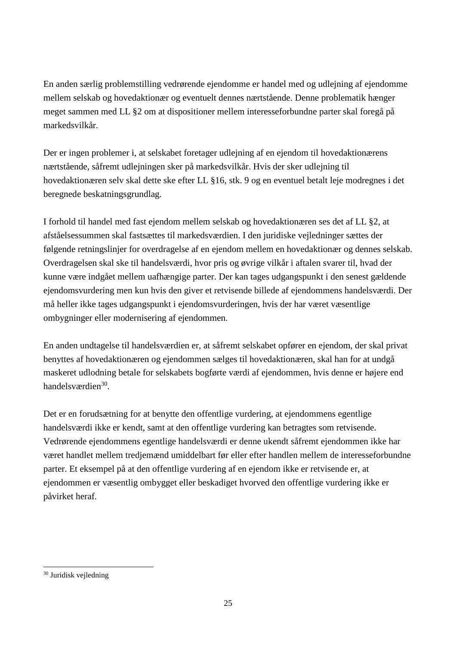En anden særlig problemstilling vedrørende ejendomme er handel med og udlejning af ejendomme mellem selskab og hovedaktionær og eventuelt dennes nærtstående. Denne problematik hænger meget sammen med LL §2 om at dispositioner mellem interesseforbundne parter skal foregå på markedsvilkår.

Der er ingen problemer i, at selskabet foretager udlejning af en ejendom til hovedaktionærens nærtstående, såfremt udlejningen sker på markedsvilkår. Hvis der sker udlejning til hovedaktionæren selv skal dette ske efter LL §16, stk. 9 og en eventuel betalt leje modregnes i det beregnede beskatningsgrundlag.

I forhold til handel med fast ejendom mellem selskab og hovedaktionæren ses det af LL §2, at afståelsessummen skal fastsættes til markedsværdien. I den juridiske vejledninger sættes der følgende retningslinjer for overdragelse af en ejendom mellem en hovedaktionær og dennes selskab. Overdragelsen skal ske til handelsværdi, hvor pris og øvrige vilkår i aftalen svarer til, hvad der kunne være indgået mellem uafhængige parter. Der kan tages udgangspunkt i den senest gældende ejendomsvurdering men kun hvis den giver et retvisende billede af ejendommens handelsværdi. Der må heller ikke tages udgangspunkt i ejendomsvurderingen, hvis der har været væsentlige ombygninger eller modernisering af ejendommen.

En anden undtagelse til handelsværdien er, at såfremt selskabet opfører en ejendom, der skal privat benyttes af hovedaktionæren og ejendommen sælges til hovedaktionæren, skal han for at undgå maskeret udlodning betale for selskabets bogførte værdi af ejendommen, hvis denne er højere end handelsværdien<sup>30</sup>.

Det er en forudsætning for at benytte den offentlige vurdering, at ejendommens egentlige handelsværdi ikke er kendt, samt at den offentlige vurdering kan betragtes som retvisende. Vedrørende ejendommens egentlige handelsværdi er denne ukendt såfremt ejendommen ikke har været handlet mellem tredjemænd umiddelbart før eller efter handlen mellem de interesseforbundne parter. Et eksempel på at den offentlige vurdering af en ejendom ikke er retvisende er, at ejendommen er væsentlig ombygget eller beskadiget hvorved den offentlige vurdering ikke er påvirket heraf.

 $\overline{a}$ 30 Juridisk vejledning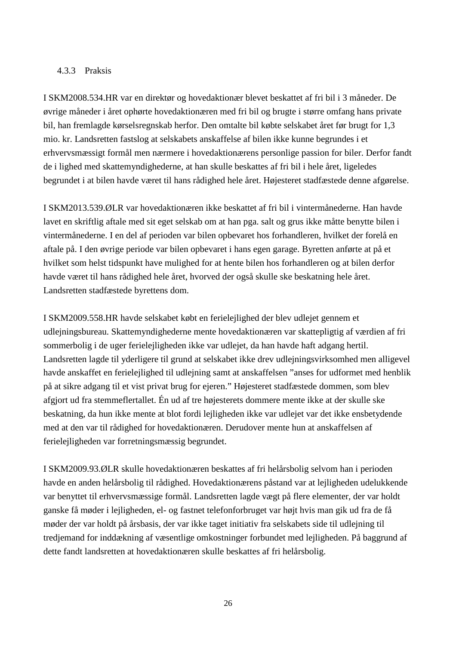#### 4.3.3 Praksis

I SKM2008.534.HR var en direktør og hovedaktionær blevet beskattet af fri bil i 3 måneder. De øvrige måneder i året ophørte hovedaktionæren med fri bil og brugte i større omfang hans private bil, han fremlagde kørselsregnskab herfor. Den omtalte bil købte selskabet året før brugt for 1,3 mio. kr. Landsretten fastslog at selskabets anskaffelse af bilen ikke kunne begrundes i et erhvervsmæssigt formål men nærmere i hovedaktionærens personlige passion for biler. Derfor fandt de i lighed med skattemyndighederne, at han skulle beskattes af fri bil i hele året, ligeledes begrundet i at bilen havde været til hans rådighed hele året. Højesteret stadfæstede denne afgørelse.

I SKM2013.539.ØLR var hovedaktionæren ikke beskattet af fri bil i vintermånederne. Han havde lavet en skriftlig aftale med sit eget selskab om at han pga. salt og grus ikke måtte benytte bilen i vintermånederne. I en del af perioden var bilen opbevaret hos forhandleren, hvilket der forelå en aftale på. I den øvrige periode var bilen opbevaret i hans egen garage. Byretten anførte at på et hvilket som helst tidspunkt have mulighed for at hente bilen hos forhandleren og at bilen derfor havde været til hans rådighed hele året, hvorved der også skulle ske beskatning hele året. Landsretten stadfæstede byrettens dom.

I SKM2009.558.HR havde selskabet købt en ferielejlighed der blev udlejet gennem et udlejningsbureau. Skattemyndighederne mente hovedaktionæren var skattepligtig af værdien af fri sommerbolig i de uger ferielejligheden ikke var udlejet, da han havde haft adgang hertil. Landsretten lagde til yderligere til grund at selskabet ikke drev udlejningsvirksomhed men alligevel havde anskaffet en ferielejlighed til udlejning samt at anskaffelsen "anses for udformet med henblik på at sikre adgang til et vist privat brug for ejeren." Højesteret stadfæstede dommen, som blev afgjort ud fra stemmeflertallet. Én ud af tre højesterets dommere mente ikke at der skulle ske beskatning, da hun ikke mente at blot fordi lejligheden ikke var udlejet var det ikke ensbetydende med at den var til rådighed for hovedaktionæren. Derudover mente hun at anskaffelsen af ferielejligheden var forretningsmæssig begrundet.

I SKM2009.93.ØLR skulle hovedaktionæren beskattes af fri helårsbolig selvom han i perioden havde en anden helårsbolig til rådighed. Hovedaktionærens påstand var at lejligheden udelukkende var benyttet til erhvervsmæssige formål. Landsretten lagde vægt på flere elementer, der var holdt ganske få møder i lejligheden, el- og fastnet telefonforbruget var højt hvis man gik ud fra de få møder der var holdt på årsbasis, der var ikke taget initiativ fra selskabets side til udlejning til tredjemand for inddækning af væsentlige omkostninger forbundet med lejligheden. På baggrund af dette fandt landsretten at hovedaktionæren skulle beskattes af fri helårsbolig.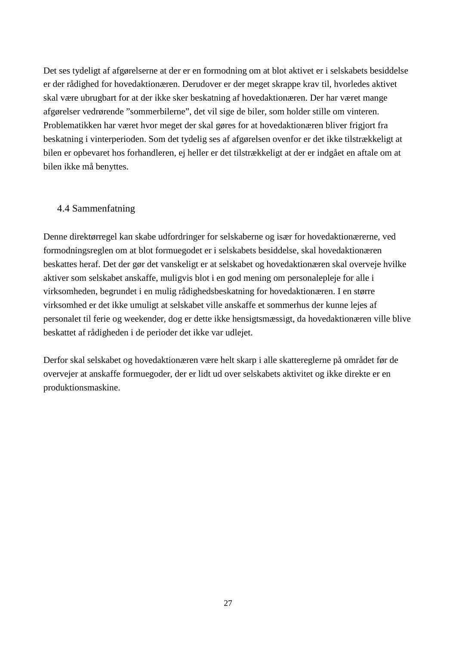Det ses tydeligt af afgørelserne at der er en formodning om at blot aktivet er i selskabets besiddelse er der rådighed for hovedaktionæren. Derudover er der meget skrappe krav til, hvorledes aktivet skal være ubrugbart for at der ikke sker beskatning af hovedaktionæren. Der har været mange afgørelser vedrørende "sommerbilerne", det vil sige de biler, som holder stille om vinteren. Problematikken har været hvor meget der skal gøres for at hovedaktionæren bliver frigjort fra beskatning i vinterperioden. Som det tydelig ses af afgørelsen ovenfor er det ikke tilstrækkeligt at bilen er opbevaret hos forhandleren, ej heller er det tilstrækkeligt at der er indgået en aftale om at bilen ikke må benyttes.

#### 4.4 Sammenfatning

Denne direktørregel kan skabe udfordringer for selskaberne og især for hovedaktionærerne, ved formodningsreglen om at blot formuegodet er i selskabets besiddelse, skal hovedaktionæren beskattes heraf. Det der gør det vanskeligt er at selskabet og hovedaktionæren skal overveje hvilke aktiver som selskabet anskaffe, muligvis blot i en god mening om personalepleje for alle i virksomheden, begrundet i en mulig rådighedsbeskatning for hovedaktionæren. I en større virksomhed er det ikke umuligt at selskabet ville anskaffe et sommerhus der kunne lejes af personalet til ferie og weekender, dog er dette ikke hensigtsmæssigt, da hovedaktionæren ville blive beskattet af rådigheden i de perioder det ikke var udlejet.

Derfor skal selskabet og hovedaktionæren være helt skarp i alle skattereglerne på området før de overvejer at anskaffe formuegoder, der er lidt ud over selskabets aktivitet og ikke direkte er en produktionsmaskine.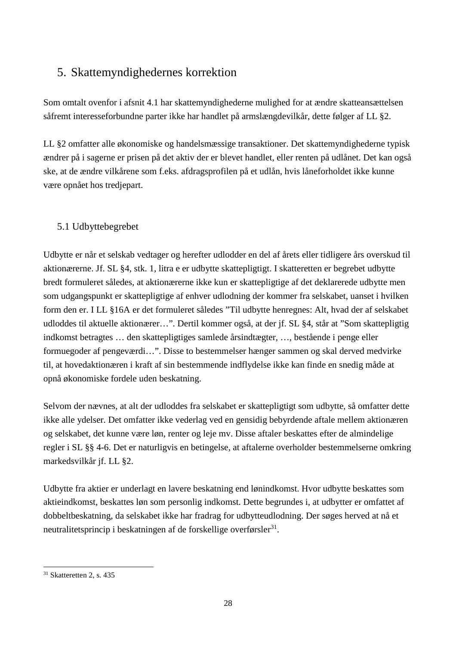## 5. Skattemyndighedernes korrektion

Som omtalt ovenfor i afsnit 4.1 har skattemyndighederne mulighed for at ændre skatteansættelsen såfremt interesseforbundne parter ikke har handlet på armslængdevilkår, dette følger af LL §2.

LL §2 omfatter alle økonomiske og handelsmæssige transaktioner. Det skattemyndighederne typisk ændrer på i sagerne er prisen på det aktiv der er blevet handlet, eller renten på udlånet. Det kan også ske, at de ændre vilkårene som f.eks. afdragsprofilen på et udlån, hvis låneforholdet ikke kunne være opnået hos tredjepart.

## 5.1 Udbyttebegrebet

Udbytte er når et selskab vedtager og herefter udlodder en del af årets eller tidligere års overskud til aktionærerne. Jf. SL §4, stk. 1, litra e er udbytte skattepligtigt. I skatteretten er begrebet udbytte bredt formuleret således, at aktionærerne ikke kun er skattepligtige af det deklarerede udbytte men som udgangspunkt er skattepligtige af enhver udlodning der kommer fra selskabet, uanset i hvilken form den er. I LL §16A er det formuleret således "Til udbytte henregnes: Alt, hvad der af selskabet udloddes til aktuelle aktionærer…". Dertil kommer også, at der jf. SL §4, står at "Som skattepligtig indkomst betragtes … den skattepligtiges samlede årsindtægter, …, bestående i penge eller formuegoder af pengeværdi…". Disse to bestemmelser hænger sammen og skal derved medvirke til, at hovedaktionæren i kraft af sin bestemmende indflydelse ikke kan finde en snedig måde at opnå økonomiske fordele uden beskatning.

Selvom der nævnes, at alt der udloddes fra selskabet er skattepligtigt som udbytte, så omfatter dette ikke alle ydelser. Det omfatter ikke vederlag ved en gensidig bebyrdende aftale mellem aktionæren og selskabet, det kunne være løn, renter og leje mv. Disse aftaler beskattes efter de almindelige regler i SL §§ 4-6. Det er naturligvis en betingelse, at aftalerne overholder bestemmelserne omkring markedsvilkår jf. LL §2.

Udbytte fra aktier er underlagt en lavere beskatning end lønindkomst. Hvor udbytte beskattes som aktieindkomst, beskattes løn som personlig indkomst. Dette begrundes i, at udbytter er omfattet af dobbeltbeskatning, da selskabet ikke har fradrag for udbytteudlodning. Der søges herved at nå et neutralitetsprincip i beskatningen af de forskellige overførsler<sup>31</sup>.

 $\overline{a}$  $31$  Skatteretten 2, s. 435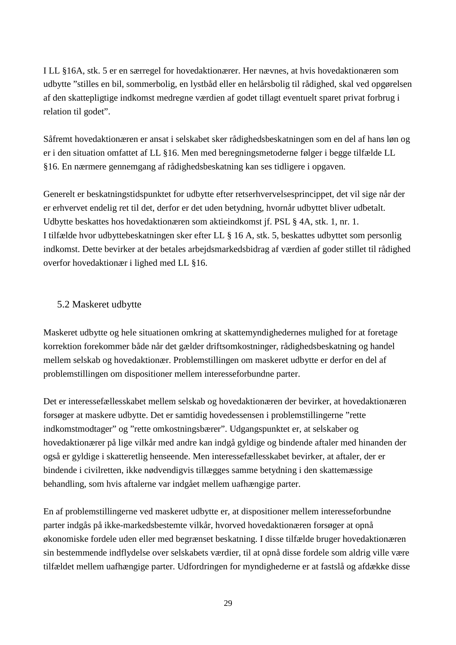I LL §16A, stk. 5 er en særregel for hovedaktionærer. Her nævnes, at hvis hovedaktionæren som udbytte "stilles en bil, sommerbolig, en lystbåd eller en helårsbolig til rådighed, skal ved opgørelsen af den skattepligtige indkomst medregne værdien af godet tillagt eventuelt sparet privat forbrug i relation til godet".

Såfremt hovedaktionæren er ansat i selskabet sker rådighedsbeskatningen som en del af hans løn og er i den situation omfattet af LL §16. Men med beregningsmetoderne følger i begge tilfælde LL §16. En nærmere gennemgang af rådighedsbeskatning kan ses tidligere i opgaven.

Generelt er beskatningstidspunktet for udbytte efter retserhvervelsesprincippet, det vil sige når der er erhvervet endelig ret til det, derfor er det uden betydning, hvornår udbyttet bliver udbetalt. Udbytte beskattes hos hovedaktionæren som aktieindkomst jf. PSL § 4A, stk. 1, nr. 1. I tilfælde hvor udbyttebeskatningen sker efter LL § 16 A, stk. 5, beskattes udbyttet som personlig indkomst. Dette bevirker at der betales arbejdsmarkedsbidrag af værdien af goder stillet til rådighed overfor hovedaktionær i lighed med LL §16.

#### 5.2 Maskeret udbytte

Maskeret udbytte og hele situationen omkring at skattemyndighedernes mulighed for at foretage korrektion forekommer både når det gælder driftsomkostninger, rådighedsbeskatning og handel mellem selskab og hovedaktionær. Problemstillingen om maskeret udbytte er derfor en del af problemstillingen om dispositioner mellem interesseforbundne parter.

Det er interessefællesskabet mellem selskab og hovedaktionæren der bevirker, at hovedaktionæren forsøger at maskere udbytte. Det er samtidig hovedessensen i problemstillingerne "rette indkomstmodtager" og "rette omkostningsbærer". Udgangspunktet er, at selskaber og hovedaktionærer på lige vilkår med andre kan indgå gyldige og bindende aftaler med hinanden der også er gyldige i skatteretlig henseende. Men interessefællesskabet bevirker, at aftaler, der er bindende i civilretten, ikke nødvendigvis tillægges samme betydning i den skattemæssige behandling, som hvis aftalerne var indgået mellem uafhængige parter.

En af problemstillingerne ved maskeret udbytte er, at dispositioner mellem interesseforbundne parter indgås på ikke-markedsbestemte vilkår, hvorved hovedaktionæren forsøger at opnå økonomiske fordele uden eller med begrænset beskatning. I disse tilfælde bruger hovedaktionæren sin bestemmende indflydelse over selskabets værdier, til at opnå disse fordele som aldrig ville være tilfældet mellem uafhængige parter. Udfordringen for myndighederne er at fastslå og afdække disse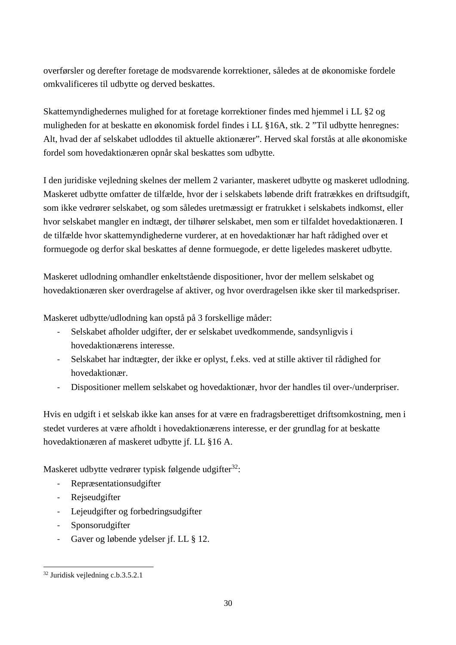overførsler og derefter foretage de modsvarende korrektioner, således at de økonomiske fordele omkvalificeres til udbytte og derved beskattes.

Skattemyndighedernes mulighed for at foretage korrektioner findes med hjemmel i LL §2 og muligheden for at beskatte en økonomisk fordel findes i LL §16A, stk. 2 "Til udbytte henregnes: Alt, hvad der af selskabet udloddes til aktuelle aktionærer". Herved skal forstås at alle økonomiske fordel som hovedaktionæren opnår skal beskattes som udbytte.

I den juridiske vejledning skelnes der mellem 2 varianter, maskeret udbytte og maskeret udlodning. Maskeret udbytte omfatter de tilfælde, hvor der i selskabets løbende drift fratrækkes en driftsudgift, som ikke vedrører selskabet, og som således uretmæssigt er fratrukket i selskabets indkomst, eller hvor selskabet mangler en indtægt, der tilhører selskabet, men som er tilfaldet hovedaktionæren. I de tilfælde hvor skattemyndighederne vurderer, at en hovedaktionær har haft rådighed over et formuegode og derfor skal beskattes af denne formuegode, er dette ligeledes maskeret udbytte.

Maskeret udlodning omhandler enkeltstående dispositioner, hvor der mellem selskabet og hovedaktionæren sker overdragelse af aktiver, og hvor overdragelsen ikke sker til markedspriser.

Maskeret udbytte/udlodning kan opstå på 3 forskellige måder:

- Selskabet afholder udgifter, der er selskabet uvedkommende, sandsynligvis i hovedaktionærens interesse.
- Selskabet har indtægter, der ikke er oplyst, f.eks. ved at stille aktiver til rådighed for hovedaktionær.
- Dispositioner mellem selskabet og hovedaktionær, hvor der handles til over-/underpriser.

Hvis en udgift i et selskab ikke kan anses for at være en fradragsberettiget driftsomkostning, men i stedet vurderes at være afholdt i hovedaktionærens interesse, er der grundlag for at beskatte hovedaktionæren af maskeret udbytte jf. LL §16 A.

Maskeret udbytte vedrører typisk følgende udgifter<sup>32</sup>:

- Repræsentationsudgifter
- Rejseudgifter
- Lejeudgifter og forbedringsudgifter
- Sponsorudgifter
- Gaver og løbende ydelser jf. LL § 12.

 $\overline{a}$ 32 Juridisk vejledning c.b.3.5.2.1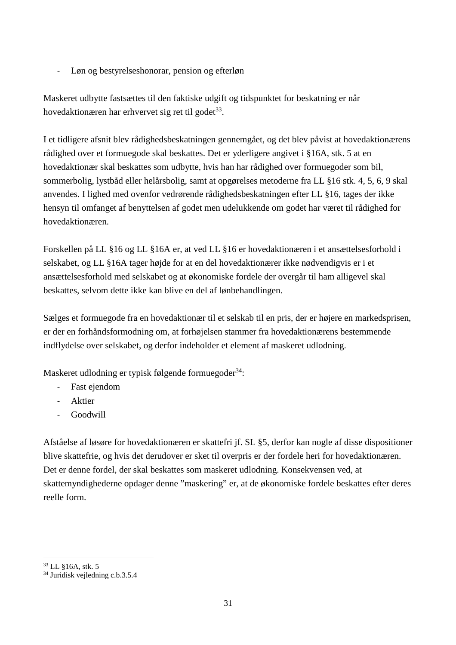- Løn og bestyrelseshonorar, pension og efterløn

Maskeret udbytte fastsættes til den faktiske udgift og tidspunktet for beskatning er når hovedaktionæren har erhvervet sig ret til godet<sup>33</sup>.

I et tidligere afsnit blev rådighedsbeskatningen gennemgået, og det blev påvist at hovedaktionærens rådighed over et formuegode skal beskattes. Det er yderligere angivet i §16A, stk. 5 at en hovedaktionær skal beskattes som udbytte, hvis han har rådighed over formuegoder som bil, sommerbolig, lystbåd eller helårsbolig, samt at opgørelses metoderne fra LL §16 stk. 4, 5, 6, 9 skal anvendes. I lighed med ovenfor vedrørende rådighedsbeskatningen efter LL §16, tages der ikke hensyn til omfanget af benyttelsen af godet men udelukkende om godet har været til rådighed for hovedaktionæren.

Forskellen på LL §16 og LL §16A er, at ved LL §16 er hovedaktionæren i et ansættelsesforhold i selskabet, og LL §16A tager højde for at en del hovedaktionærer ikke nødvendigvis er i et ansættelsesforhold med selskabet og at økonomiske fordele der overgår til ham alligevel skal beskattes, selvom dette ikke kan blive en del af lønbehandlingen.

Sælges et formuegode fra en hovedaktionær til et selskab til en pris, der er højere en markedsprisen, er der en forhåndsformodning om, at forhøjelsen stammer fra hovedaktionærens bestemmende indflydelse over selskabet, og derfor indeholder et element af maskeret udlodning.

Maskeret udlodning er typisk følgende formuegoder<sup>34</sup>:

- Fast ejendom
- Aktier
- Goodwill

Afståelse af løsøre for hovedaktionæren er skattefri jf. SL §5, derfor kan nogle af disse dispositioner blive skattefrie, og hvis det derudover er sket til overpris er der fordele heri for hovedaktionæren. Det er denne fordel, der skal beskattes som maskeret udlodning. Konsekvensen ved, at skattemyndighederne opdager denne "maskering" er, at de økonomiske fordele beskattes efter deres reelle form.

 $\overline{a}$ <sup>33</sup> LL §16A, stk. 5

<sup>34</sup> Juridisk vejledning c.b.3.5.4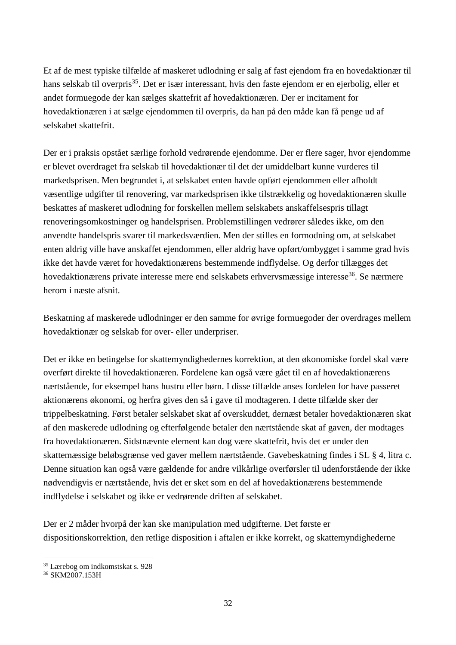Et af de mest typiske tilfælde af maskeret udlodning er salg af fast ejendom fra en hovedaktionær til hans selskab til overpris<sup>35</sup>. Det er især interessant, hvis den faste ejendom er en ejerbolig, eller et andet formuegode der kan sælges skattefrit af hovedaktionæren. Der er incitament for hovedaktionæren i at sælge ejendommen til overpris, da han på den måde kan få penge ud af selskabet skattefrit.

Der er i praksis opstået særlige forhold vedrørende ejendomme. Der er flere sager, hvor ejendomme er blevet overdraget fra selskab til hovedaktionær til det der umiddelbart kunne vurderes til markedsprisen. Men begrundet i, at selskabet enten havde opført ejendommen eller afholdt væsentlige udgifter til renovering, var markedsprisen ikke tilstrækkelig og hovedaktionæren skulle beskattes af maskeret udlodning for forskellen mellem selskabets anskaffelsespris tillagt renoveringsomkostninger og handelsprisen. Problemstillingen vedrører således ikke, om den anvendte handelspris svarer til markedsværdien. Men der stilles en formodning om, at selskabet enten aldrig ville have anskaffet ejendommen, eller aldrig have opført/ombygget i samme grad hvis ikke det havde været for hovedaktionærens bestemmende indflydelse. Og derfor tillægges det hovedaktionærens private interesse mere end selskabets erhvervsmæssige interesse<sup>36</sup>. Se nærmere herom i næste afsnit.

Beskatning af maskerede udlodninger er den samme for øvrige formuegoder der overdrages mellem hovedaktionær og selskab for over- eller underpriser.

Det er ikke en betingelse for skattemyndighedernes korrektion, at den økonomiske fordel skal være overført direkte til hovedaktionæren. Fordelene kan også være gået til en af hovedaktionærens nærtstående, for eksempel hans hustru eller børn. I disse tilfælde anses fordelen for have passeret aktionærens økonomi, og herfra gives den så i gave til modtageren. I dette tilfælde sker der trippelbeskatning. Først betaler selskabet skat af overskuddet, dernæst betaler hovedaktionæren skat af den maskerede udlodning og efterfølgende betaler den nærtstående skat af gaven, der modtages fra hovedaktionæren. Sidstnævnte element kan dog være skattefrit, hvis det er under den skattemæssige beløbsgrænse ved gaver mellem nærtstående. Gavebeskatning findes i SL § 4, litra c. Denne situation kan også være gældende for andre vilkårlige overførsler til udenforstående der ikke nødvendigvis er nærtstående, hvis det er sket som en del af hovedaktionærens bestemmende indflydelse i selskabet og ikke er vedrørende driften af selskabet.

Der er 2 måder hvorpå der kan ske manipulation med udgifterne. Det første er dispositionskorrektion, den retlige disposition i aftalen er ikke korrekt, og skattemyndighederne

 $\overline{a}$ <sup>35</sup> Lærebog om indkomstskat s. 928

<sup>36</sup> SKM2007.153H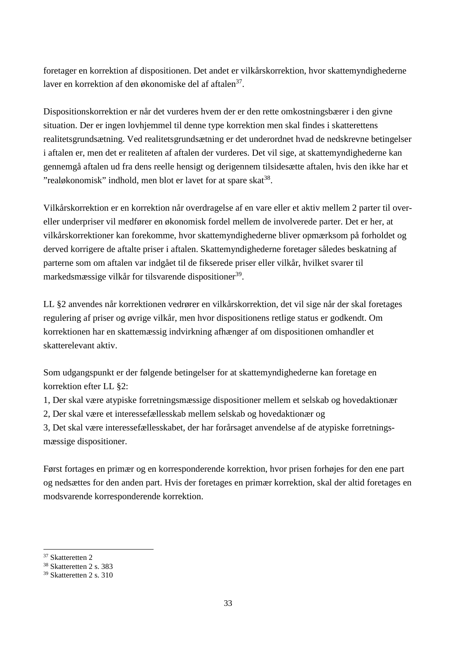foretager en korrektion af dispositionen. Det andet er vilkårskorrektion, hvor skattemyndighederne laver en korrektion af den økonomiske del af aftalen<sup>37</sup>.

Dispositionskorrektion er når det vurderes hvem der er den rette omkostningsbærer i den givne situation. Der er ingen lovhjemmel til denne type korrektion men skal findes i skatterettens realitetsgrundsætning. Ved realitetsgrundsætning er det underordnet hvad de nedskrevne betingelser i aftalen er, men det er realiteten af aftalen der vurderes. Det vil sige, at skattemyndighederne kan gennemgå aftalen ud fra dens reelle hensigt og derigennem tilsidesætte aftalen, hvis den ikke har et "realøkonomisk" indhold, men blot er lavet for at spare skat<sup>38</sup>.

Vilkårskorrektion er en korrektion når overdragelse af en vare eller et aktiv mellem 2 parter til overeller underpriser vil medfører en økonomisk fordel mellem de involverede parter. Det er her, at vilkårskorrektioner kan forekomme, hvor skattemyndighederne bliver opmærksom på forholdet og derved korrigere de aftalte priser i aftalen. Skattemyndighederne foretager således beskatning af parterne som om aftalen var indgået til de fikserede priser eller vilkår, hvilket svarer til markedsmæssige vilkår for tilsvarende dispositioner<sup>39</sup>.

LL §2 anvendes når korrektionen vedrører en vilkårskorrektion, det vil sige når der skal foretages regulering af priser og øvrige vilkår, men hvor dispositionens retlige status er godkendt. Om korrektionen har en skattemæssig indvirkning afhænger af om dispositionen omhandler et skatterelevant aktiv.

Som udgangspunkt er der følgende betingelser for at skattemyndighederne kan foretage en korrektion efter LL §2:

- 1, Der skal være atypiske forretningsmæssige dispositioner mellem et selskab og hovedaktionær
- 2, Der skal være et interessefællesskab mellem selskab og hovedaktionær og

3, Det skal være interessefællesskabet, der har forårsaget anvendelse af de atypiske forretningsmæssige dispositioner.

Først fortages en primær og en korresponderende korrektion, hvor prisen forhøjes for den ene part og nedsættes for den anden part. Hvis der foretages en primær korrektion, skal der altid foretages en modsvarende korresponderende korrektion.

<sup>37</sup> Skatteretten 2

<sup>38</sup> Skatteretten 2 s. 383

<sup>39</sup> Skatteretten 2 s. 310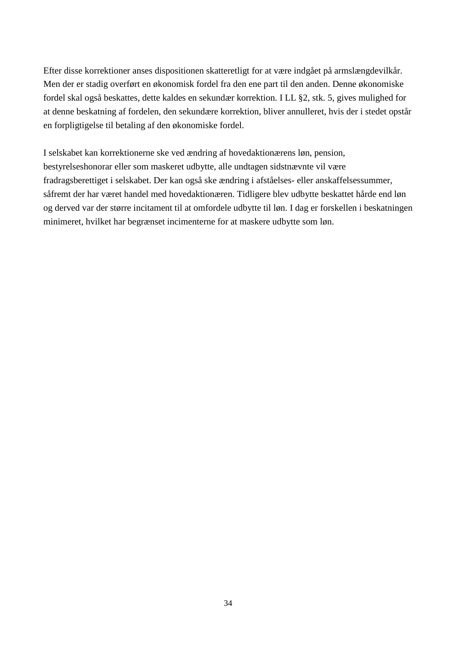Efter disse korrektioner anses dispositionen skatteretligt for at være indgået på armslængdevilkår. Men der er stadig overført en økonomisk fordel fra den ene part til den anden. Denne økonomiske fordel skal også beskattes, dette kaldes en sekundær korrektion. I LL §2, stk. 5, gives mulighed for at denne beskatning af fordelen, den sekundære korrektion, bliver annulleret, hvis der i stedet opstår en forpligtigelse til betaling af den økonomiske fordel.

I selskabet kan korrektionerne ske ved ændring af hovedaktionærens løn, pension, bestyrelseshonorar eller som maskeret udbytte, alle undtagen sidstnævnte vil være fradragsberettiget i selskabet. Der kan også ske ændring i afståelses- eller anskaffelsessummer, såfremt der har været handel med hovedaktionæren. Tidligere blev udbytte beskattet hårde end løn og derved var der større incitament til at omfordele udbytte til løn. I dag er forskellen i beskatningen minimeret, hvilket har begrænset incimenterne for at maskere udbytte som løn.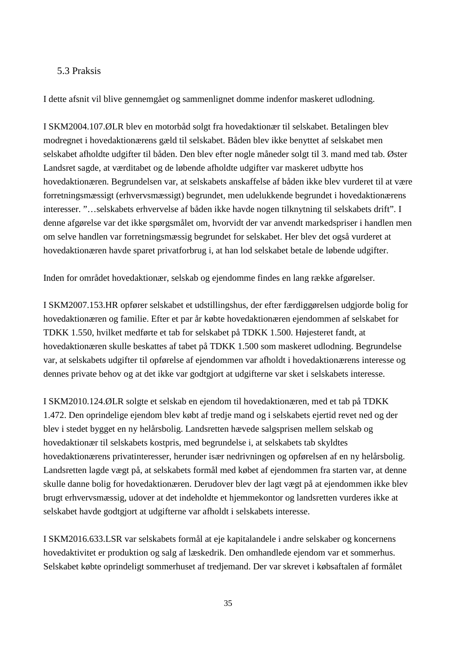#### 5.3 Praksis

I dette afsnit vil blive gennemgået og sammenlignet domme indenfor maskeret udlodning.

I SKM2004.107.ØLR blev en motorbåd solgt fra hovedaktionær til selskabet. Betalingen blev modregnet i hovedaktionærens gæld til selskabet. Båden blev ikke benyttet af selskabet men selskabet afholdte udgifter til båden. Den blev efter nogle måneder solgt til 3. mand med tab. Øster Landsret sagde, at værditabet og de løbende afholdte udgifter var maskeret udbytte hos hovedaktionæren. Begrundelsen var, at selskabets anskaffelse af båden ikke blev vurderet til at være forretningsmæssigt (erhvervsmæssigt) begrundet, men udelukkende begrundet i hovedaktionærens interesser. "…selskabets erhvervelse af båden ikke havde nogen tilknytning til selskabets drift". I denne afgørelse var det ikke spørgsmålet om, hvorvidt der var anvendt markedspriser i handlen men om selve handlen var forretningsmæssig begrundet for selskabet. Her blev det også vurderet at hovedaktionæren havde sparet privatforbrug i, at han lod selskabet betale de løbende udgifter.

Inden for området hovedaktionær, selskab og ejendomme findes en lang række afgørelser.

I SKM2007.153.HR opfører selskabet et udstillingshus, der efter færdiggørelsen udgjorde bolig for hovedaktionæren og familie. Efter et par år købte hovedaktionæren ejendommen af selskabet for TDKK 1.550, hvilket medførte et tab for selskabet på TDKK 1.500. Højesteret fandt, at hovedaktionæren skulle beskattes af tabet på TDKK 1.500 som maskeret udlodning. Begrundelse var, at selskabets udgifter til opførelse af ejendommen var afholdt i hovedaktionærens interesse og dennes private behov og at det ikke var godtgjort at udgifterne var sket i selskabets interesse.

I SKM2010.124.ØLR solgte et selskab en ejendom til hovedaktionæren, med et tab på TDKK 1.472. Den oprindelige ejendom blev købt af tredje mand og i selskabets ejertid revet ned og der blev i stedet bygget en ny helårsbolig. Landsretten hævede salgsprisen mellem selskab og hovedaktionær til selskabets kostpris, med begrundelse i, at selskabets tab skyldtes hovedaktionærens privatinteresser, herunder især nedrivningen og opførelsen af en ny helårsbolig. Landsretten lagde vægt på, at selskabets formål med købet af ejendommen fra starten var, at denne skulle danne bolig for hovedaktionæren. Derudover blev der lagt vægt på at ejendommen ikke blev brugt erhvervsmæssig, udover at det indeholdte et hjemmekontor og landsretten vurderes ikke at selskabet havde godtgjort at udgifterne var afholdt i selskabets interesse.

I SKM2016.633.LSR var selskabets formål at eje kapitalandele i andre selskaber og koncernens hovedaktivitet er produktion og salg af læskedrik. Den omhandlede ejendom var et sommerhus. Selskabet købte oprindeligt sommerhuset af tredjemand. Der var skrevet i købsaftalen af formålet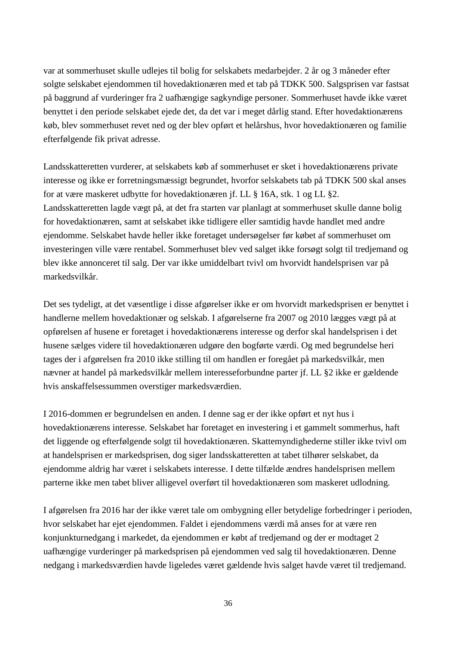var at sommerhuset skulle udlejes til bolig for selskabets medarbejder. 2 år og 3 måneder efter solgte selskabet ejendommen til hovedaktionæren med et tab på TDKK 500. Salgsprisen var fastsat på baggrund af vurderinger fra 2 uafhængige sagkyndige personer. Sommerhuset havde ikke været benyttet i den periode selskabet ejede det, da det var i meget dårlig stand. Efter hovedaktionærens køb, blev sommerhuset revet ned og der blev opført et helårshus, hvor hovedaktionæren og familie efterfølgende fik privat adresse.

Landsskatteretten vurderer, at selskabets køb af sommerhuset er sket i hovedaktionærens private interesse og ikke er forretningsmæssigt begrundet, hvorfor selskabets tab på TDKK 500 skal anses for at være maskeret udbytte for hovedaktionæren jf. LL § 16A, stk. 1 og LL §2. Landsskatteretten lagde vægt på, at det fra starten var planlagt at sommerhuset skulle danne bolig for hovedaktionæren, samt at selskabet ikke tidligere eller samtidig havde handlet med andre ejendomme. Selskabet havde heller ikke foretaget undersøgelser før købet af sommerhuset om investeringen ville være rentabel. Sommerhuset blev ved salget ikke forsøgt solgt til tredjemand og blev ikke annonceret til salg. Der var ikke umiddelbart tvivl om hvorvidt handelsprisen var på markedsvilkår.

Det ses tydeligt, at det væsentlige i disse afgørelser ikke er om hvorvidt markedsprisen er benyttet i handlerne mellem hovedaktionær og selskab. I afgørelserne fra 2007 og 2010 lægges vægt på at opførelsen af husene er foretaget i hovedaktionærens interesse og derfor skal handelsprisen i det husene sælges videre til hovedaktionæren udgøre den bogførte værdi. Og med begrundelse heri tages der i afgørelsen fra 2010 ikke stilling til om handlen er foregået på markedsvilkår, men nævner at handel på markedsvilkår mellem interesseforbundne parter jf. LL §2 ikke er gældende hvis anskaffelsessummen overstiger markedsværdien.

I 2016-dommen er begrundelsen en anden. I denne sag er der ikke opført et nyt hus i hovedaktionærens interesse. Selskabet har foretaget en investering i et gammelt sommerhus, haft det liggende og efterfølgende solgt til hovedaktionæren. Skattemyndighederne stiller ikke tvivl om at handelsprisen er markedsprisen, dog siger landsskatteretten at tabet tilhører selskabet, da ejendomme aldrig har været i selskabets interesse. I dette tilfælde ændres handelsprisen mellem parterne ikke men tabet bliver alligevel overført til hovedaktionæren som maskeret udlodning.

I afgørelsen fra 2016 har der ikke været tale om ombygning eller betydelige forbedringer i perioden, hvor selskabet har ejet ejendommen. Faldet i ejendommens værdi må anses for at være ren konjunkturnedgang i markedet, da ejendommen er købt af tredjemand og der er modtaget 2 uafhængige vurderinger på markedsprisen på ejendommen ved salg til hovedaktionæren. Denne nedgang i markedsværdien havde ligeledes været gældende hvis salget havde været til tredjemand.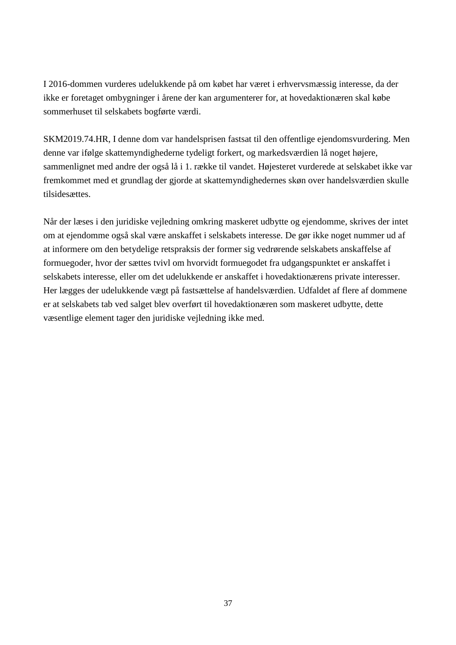I 2016-dommen vurderes udelukkende på om købet har været i erhvervsmæssig interesse, da der ikke er foretaget ombygninger i årene der kan argumenterer for, at hovedaktionæren skal købe sommerhuset til selskabets bogførte værdi.

SKM2019.74.HR, I denne dom var handelsprisen fastsat til den offentlige ejendomsvurdering. Men denne var ifølge skattemyndighederne tydeligt forkert, og markedsværdien lå noget højere, sammenlignet med andre der også lå i 1. række til vandet. Højesteret vurderede at selskabet ikke var fremkommet med et grundlag der gjorde at skattemyndighedernes skøn over handelsværdien skulle tilsidesættes.

Når der læses i den juridiske vejledning omkring maskeret udbytte og ejendomme, skrives der intet om at ejendomme også skal være anskaffet i selskabets interesse. De gør ikke noget nummer ud af at informere om den betydelige retspraksis der former sig vedrørende selskabets anskaffelse af formuegoder, hvor der sættes tvivl om hvorvidt formuegodet fra udgangspunktet er anskaffet i selskabets interesse, eller om det udelukkende er anskaffet i hovedaktionærens private interesser. Her lægges der udelukkende vægt på fastsættelse af handelsværdien. Udfaldet af flere af dommene er at selskabets tab ved salget blev overført til hovedaktionæren som maskeret udbytte, dette væsentlige element tager den juridiske vejledning ikke med.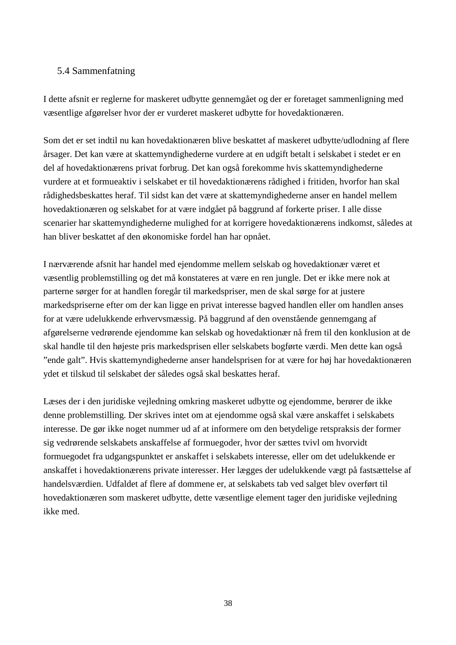#### 5.4 Sammenfatning

I dette afsnit er reglerne for maskeret udbytte gennemgået og der er foretaget sammenligning med væsentlige afgørelser hvor der er vurderet maskeret udbytte for hovedaktionæren.

Som det er set indtil nu kan hovedaktionæren blive beskattet af maskeret udbytte/udlodning af flere årsager. Det kan være at skattemyndighederne vurdere at en udgift betalt i selskabet i stedet er en del af hovedaktionærens privat forbrug. Det kan også forekomme hvis skattemyndighederne vurdere at et formueaktiv i selskabet er til hovedaktionærens rådighed i fritiden, hvorfor han skal rådighedsbeskattes heraf. Til sidst kan det være at skattemyndighederne anser en handel mellem hovedaktionæren og selskabet for at være indgået på baggrund af forkerte priser. I alle disse scenarier har skattemyndighederne mulighed for at korrigere hovedaktionærens indkomst, således at han bliver beskattet af den økonomiske fordel han har opnået.

I nærværende afsnit har handel med ejendomme mellem selskab og hovedaktionær været et væsentlig problemstilling og det må konstateres at være en ren jungle. Det er ikke mere nok at parterne sørger for at handlen foregår til markedspriser, men de skal sørge for at justere markedspriserne efter om der kan ligge en privat interesse bagved handlen eller om handlen anses for at være udelukkende erhvervsmæssig. På baggrund af den ovenstående gennemgang af afgørelserne vedrørende ejendomme kan selskab og hovedaktionær nå frem til den konklusion at de skal handle til den højeste pris markedsprisen eller selskabets bogførte værdi. Men dette kan også "ende galt". Hvis skattemyndighederne anser handelsprisen for at være for høj har hovedaktionæren ydet et tilskud til selskabet der således også skal beskattes heraf.

Læses der i den juridiske vejledning omkring maskeret udbytte og ejendomme, berører de ikke denne problemstilling. Der skrives intet om at ejendomme også skal være anskaffet i selskabets interesse. De gør ikke noget nummer ud af at informere om den betydelige retspraksis der former sig vedrørende selskabets anskaffelse af formuegoder, hvor der sættes tvivl om hvorvidt formuegodet fra udgangspunktet er anskaffet i selskabets interesse, eller om det udelukkende er anskaffet i hovedaktionærens private interesser. Her lægges der udelukkende vægt på fastsættelse af handelsværdien. Udfaldet af flere af dommene er, at selskabets tab ved salget blev overført til hovedaktionæren som maskeret udbytte, dette væsentlige element tager den juridiske vejledning ikke med.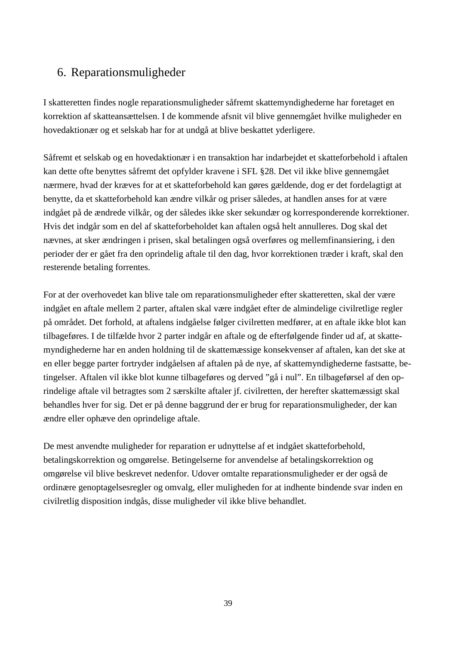## 6. Reparationsmuligheder

I skatteretten findes nogle reparationsmuligheder såfremt skattemyndighederne har foretaget en korrektion af skatteansættelsen. I de kommende afsnit vil blive gennemgået hvilke muligheder en hovedaktionær og et selskab har for at undgå at blive beskattet yderligere.

Såfremt et selskab og en hovedaktionær i en transaktion har indarbejdet et skatteforbehold i aftalen kan dette ofte benyttes såfremt det opfylder kravene i SFL §28. Det vil ikke blive gennemgået nærmere, hvad der kræves for at et skatteforbehold kan gøres gældende, dog er det fordelagtigt at benytte, da et skatteforbehold kan ændre vilkår og priser således, at handlen anses for at være indgået på de ændrede vilkår, og der således ikke sker sekundær og korresponderende korrektioner. Hvis det indgår som en del af skatteforbeholdet kan aftalen også helt annulleres. Dog skal det nævnes, at sker ændringen i prisen, skal betalingen også overføres og mellemfinansiering, i den perioder der er gået fra den oprindelig aftale til den dag, hvor korrektionen træder i kraft, skal den resterende betaling forrentes.

For at der overhovedet kan blive tale om reparationsmuligheder efter skatteretten, skal der være indgået en aftale mellem 2 parter, aftalen skal være indgået efter de almindelige civilretlige regler på området. Det forhold, at aftalens indgåelse følger civilretten medfører, at en aftale ikke blot kan tilbageføres. I de tilfælde hvor 2 parter indgår en aftale og de efterfølgende finder ud af, at skattemyndighederne har en anden holdning til de skattemæssige konsekvenser af aftalen, kan det ske at en eller begge parter fortryder indgåelsen af aftalen på de nye, af skattemyndighederne fastsatte, betingelser. Aftalen vil ikke blot kunne tilbageføres og derved "gå i nul". En tilbageførsel af den oprindelige aftale vil betragtes som 2 særskilte aftaler jf. civilretten, der herefter skattemæssigt skal behandles hver for sig. Det er på denne baggrund der er brug for reparationsmuligheder, der kan ændre eller ophæve den oprindelige aftale.

De mest anvendte muligheder for reparation er udnyttelse af et indgået skatteforbehold, betalingskorrektion og omgørelse. Betingelserne for anvendelse af betalingskorrektion og omgørelse vil blive beskrevet nedenfor. Udover omtalte reparationsmuligheder er der også de ordinære genoptagelsesregler og omvalg, eller muligheden for at indhente bindende svar inden en civilretlig disposition indgås, disse muligheder vil ikke blive behandlet.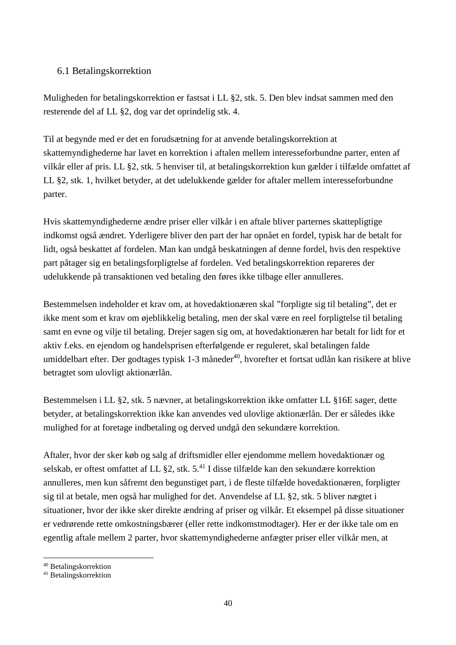#### 6.1 Betalingskorrektion

Muligheden for betalingskorrektion er fastsat i LL §2, stk. 5. Den blev indsat sammen med den resterende del af LL §2, dog var det oprindelig stk. 4.

Til at begynde med er det en forudsætning for at anvende betalingskorrektion at skattemyndighederne har lavet en korrektion i aftalen mellem interesseforbundne parter, enten af vilkår eller af pris. LL §2, stk. 5 henviser til, at betalingskorrektion kun gælder i tilfælde omfattet af LL §2, stk. 1, hvilket betyder, at det udelukkende gælder for aftaler mellem interesseforbundne parter.

Hvis skattemyndighederne ændre priser eller vilkår i en aftale bliver parternes skattepligtige indkomst også ændret. Yderligere bliver den part der har opnået en fordel, typisk har de betalt for lidt, også beskattet af fordelen. Man kan undgå beskatningen af denne fordel, hvis den respektive part påtager sig en betalingsforpligtelse af fordelen. Ved betalingskorrektion repareres der udelukkende på transaktionen ved betaling den føres ikke tilbage eller annulleres.

Bestemmelsen indeholder et krav om, at hovedaktionæren skal "forpligte sig til betaling", det er ikke ment som et krav om øjeblikkelig betaling, men der skal være en reel forpligtelse til betaling samt en evne og vilje til betaling. Drejer sagen sig om, at hovedaktionæren har betalt for lidt for et aktiv f.eks. en ejendom og handelsprisen efterfølgende er reguleret, skal betalingen falde umiddelbart efter. Der godtages typisk 1-3 måneder<sup>40</sup>, hvorefter et fortsat udlån kan risikere at blive betragtet som ulovligt aktionærlån.

Bestemmelsen i LL §2, stk. 5 nævner, at betalingskorrektion ikke omfatter LL §16E sager, dette betyder, at betalingskorrektion ikke kan anvendes ved ulovlige aktionærlån. Der er således ikke mulighed for at foretage indbetaling og derved undgå den sekundære korrektion.

Aftaler, hvor der sker køb og salg af driftsmidler eller ejendomme mellem hovedaktionær og selskab, er oftest omfattet af LL §2, stk. 5.<sup>41</sup> I disse tilfælde kan den sekundære korrektion annulleres, men kun såfremt den begunstiget part, i de fleste tilfælde hovedaktionæren, forpligter sig til at betale, men også har mulighed for det. Anvendelse af LL §2, stk. 5 bliver nægtet i situationer, hvor der ikke sker direkte ændring af priser og vilkår. Et eksempel på disse situationer er vedrørende rette omkostningsbærer (eller rette indkomstmodtager). Her er der ikke tale om en egentlig aftale mellem 2 parter, hvor skattemyndighederne anfægter priser eller vilkår men, at

 $\overline{a}$ <sup>40</sup> Betalingskorrektion

<sup>41</sup> Betalingskorrektion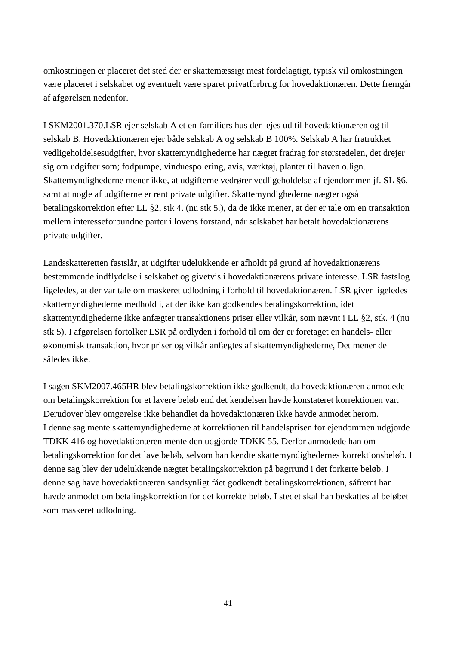omkostningen er placeret det sted der er skattemæssigt mest fordelagtigt, typisk vil omkostningen være placeret i selskabet og eventuelt være sparet privatforbrug for hovedaktionæren. Dette fremgår af afgørelsen nedenfor.

I SKM2001.370.LSR ejer selskab A et en-familiers hus der lejes ud til hovedaktionæren og til selskab B. Hovedaktionæren ejer både selskab A og selskab B 100%. Selskab A har fratrukket vedligeholdelsesudgifter, hvor skattemyndighederne har nægtet fradrag for størstedelen, det drejer sig om udgifter som; fodpumpe, vinduespolering, avis, værktøj, planter til haven o.lign. Skattemyndighederne mener ikke, at udgifterne vedrører vedligeholdelse af ejendommen jf. SL §6, samt at nogle af udgifterne er rent private udgifter. Skattemyndighederne nægter også betalingskorrektion efter LL §2, stk 4. (nu stk 5.), da de ikke mener, at der er tale om en transaktion mellem interesseforbundne parter i lovens forstand, når selskabet har betalt hovedaktionærens private udgifter.

Landsskatteretten fastslår, at udgifter udelukkende er afholdt på grund af hovedaktionærens bestemmende indflydelse i selskabet og givetvis i hovedaktionærens private interesse. LSR fastslog ligeledes, at der var tale om maskeret udlodning i forhold til hovedaktionæren. LSR giver ligeledes skattemyndighederne medhold i, at der ikke kan godkendes betalingskorrektion, idet skattemyndighederne ikke anfægter transaktionens priser eller vilkår, som nævnt i LL §2, stk. 4 (nu stk 5). I afgørelsen fortolker LSR på ordlyden i forhold til om der er foretaget en handels- eller økonomisk transaktion, hvor priser og vilkår anfægtes af skattemyndighederne, Det mener de således ikke.

I sagen SKM2007.465HR blev betalingskorrektion ikke godkendt, da hovedaktionæren anmodede om betalingskorrektion for et lavere beløb end det kendelsen havde konstateret korrektionen var. Derudover blev omgørelse ikke behandlet da hovedaktionæren ikke havde anmodet herom. I denne sag mente skattemyndighederne at korrektionen til handelsprisen for ejendommen udgjorde TDKK 416 og hovedaktionæren mente den udgjorde TDKK 55. Derfor anmodede han om betalingskorrektion for det lave beløb, selvom han kendte skattemyndighedernes korrektionsbeløb. I denne sag blev der udelukkende nægtet betalingskorrektion på bagrrund i det forkerte beløb. I denne sag have hovedaktionæren sandsynligt fået godkendt betalingskorrektionen, såfremt han havde anmodet om betalingskorrektion for det korrekte beløb. I stedet skal han beskattes af beløbet som maskeret udlodning.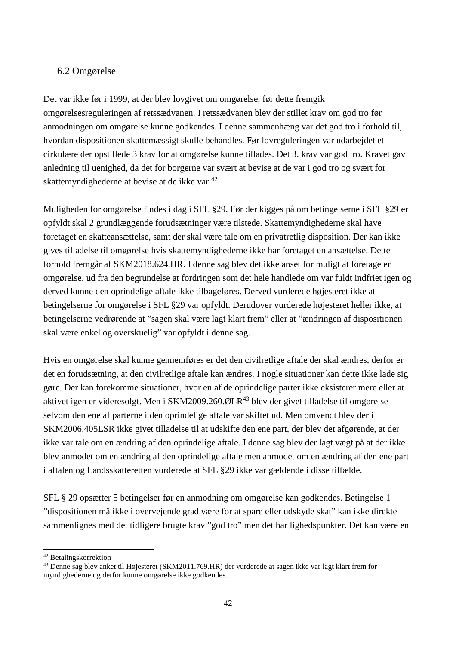#### 6.2 Omgørelse

Det var ikke før i 1999, at der blev lovgivet om omgørelse, før dette fremgik omgørelsesreguleringen af retssædvanen. I retssædvanen blev der stillet krav om god tro før anmodningen om omgørelse kunne godkendes. I denne sammenhæng var det god tro i forhold til, hvordan dispositionen skattemæssigt skulle behandles. Før lovreguleringen var udarbejdet et cirkulære der opstillede 3 krav for at omgørelse kunne tillades. Det 3. krav var god tro. Kravet gav anledning til uenighed, da det for borgerne var svært at bevise at de var i god tro og svært for skattemyndighederne at bevise at de ikke var.<sup>42</sup>

Muligheden for omgørelse findes i dag i SFL §29. Før der kigges på om betingelserne i SFL §29 er opfyldt skal 2 grundlæggende forudsætninger være tilstede. Skattemyndighederne skal have foretaget en skatteansættelse, samt der skal være tale om en privatretlig disposition. Der kan ikke gives tilladelse til omgørelse hvis skattemyndighederne ikke har foretaget en ansættelse. Dette forhold fremgår af SKM2018.624.HR. I denne sag blev det ikke anset for muligt at foretage en omgørelse, ud fra den begrundelse at fordringen som det hele handlede om var fuldt indfriet igen og derved kunne den oprindelige aftale ikke tilbageføres. Derved vurderede højesteret ikke at betingelserne for omgørelse i SFL §29 var opfyldt. Derudover vurderede højesteret heller ikke, at betingelserne vedrørende at "sagen skal være lagt klart frem" eller at "ændringen af dispositionen skal være enkel og overskuelig" var opfyldt i denne sag.

Hvis en omgørelse skal kunne gennemføres er det den civilretlige aftale der skal ændres, derfor er det en forudsætning, at den civilretlige aftale kan ændres. I nogle situationer kan dette ikke lade sig gøre. Der kan forekomme situationer, hvor en af de oprindelige parter ikke eksisterer mere eller at aktivet igen er videresolgt. Men i SKM2009.260.ØLR<sup>43</sup> blev der givet tilladelse til omgørelse selvom den ene af parterne i den oprindelige aftale var skiftet ud. Men omvendt blev der i SKM2006.405LSR ikke givet tilladelse til at udskifte den ene part, der blev det afgørende, at der ikke var tale om en ændring af den oprindelige aftale. I denne sag blev der lagt vægt på at der ikke blev anmodet om en ændring af den oprindelige aftale men anmodet om en ændring af den ene part i aftalen og Landsskatteretten vurderede at SFL §29 ikke var gældende i disse tilfælde.

SFL § 29 opsætter 5 betingelser før en anmodning om omgørelse kan godkendes. Betingelse 1 "dispositionen må ikke i overvejende grad være for at spare eller udskyde skat" kan ikke direkte sammenlignes med det tidligere brugte krav "god tro" men det har lighedspunkter. Det kan være en

<sup>42</sup> Betalingskorrektion

<sup>43</sup> Denne sag blev anket til Højesteret (SKM2011.769.HR) der vurderede at sagen ikke var lagt klart frem for myndighederne og derfor kunne omgørelse ikke godkendes.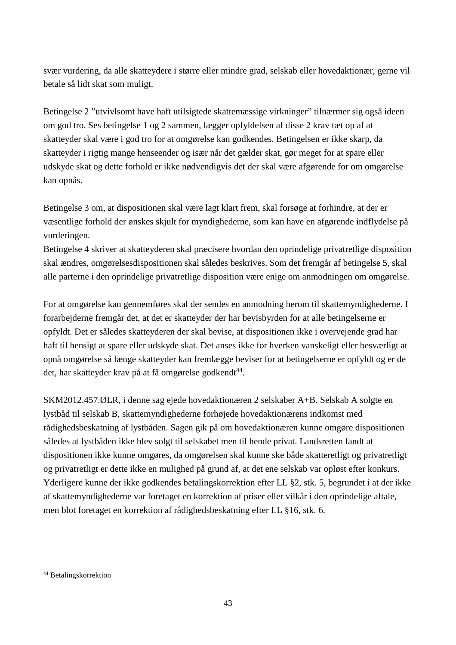svær vurdering, da alle skatteydere i større eller mindre grad, selskab eller hovedaktionær, gerne vil betale så lidt skat som muligt.

Betingelse 2 "utvivlsomt have haft utilsigtede skattemæssige virkninger" tilnærmer sig også ideen om god tro. Ses betingelse 1 og 2 sammen, lægger opfyldelsen af disse 2 krav tæt op af at skatteyder skal være i god tro for at omgørelse kan godkendes. Betingelsen er ikke skarp, da skatteyder i rigtig mange henseender og især når det gælder skat, gør meget for at spare eller udskyde skat og dette forhold er ikke nødvendigvis det der skal være afgørende for om omgørelse kan opnås.

Betingelse 3 om, at dispositionen skal være lagt klart frem, skal forsøge at forhindre, at der er væsentlige forhold der ønskes skjult for myndighederne, som kan have en afgørende indflydelse på vurderingen.

Betingelse 4 skriver at skatteyderen skal præcisere hvordan den oprindelige privatretlige disposition skal ændres, omgørelsesdispositionen skal således beskrives. Som det fremgår af betingelse 5, skal alle parterne i den oprindelige privatretlige disposition være enige om anmodningen om omgørelse.

For at omgørelse kan gennemføres skal der sendes en anmodning herom til skattemyndighederne. I forarbejderne fremgår det, at det er skatteyder der har bevisbyrden for at alle betingelserne er opfyldt. Det er således skatteyderen der skal bevise, at dispositionen ikke i overvejende grad har haft til hensigt at spare eller udskyde skat. Det anses ikke for hverken vanskeligt eller besværligt at opnå omgørelse så længe skatteyder kan fremlægge beviser for at betingelserne er opfyldt og er de det, har skatteyder krav på at få omgørelse godkendt<sup>44</sup>.

SKM2012.457.ØLR, i denne sag ejede hovedaktionæren 2 selskaber A+B. Selskab A solgte en lystbåd til selskab B, skattemyndighederne forhøjede hovedaktionærens indkomst med rådighedsbeskatning af lystbåden. Sagen gik på om hovedaktionæren kunne omgøre dispositionen således at lystbåden ikke blev solgt til selskabet men til hende privat. Landsretten fandt at dispositionen ikke kunne omgøres, da omgørelsen skal kunne ske både skatteretligt og privatretligt og privatretligt er dette ikke en mulighed på grund af, at det ene selskab var opløst efter konkurs. Yderligere kunne der ikke godkendes betalingskorrektion efter LL §2, stk. 5, begrundet i at der ikke af skattemyndighederne var foretaget en korrektion af priser eller vilkår i den oprindelige aftale, men blot foretaget en korrektion af rådighedsbeskatning efter LL §16, stk. 6.

<sup>44</sup> Betalingskorrektion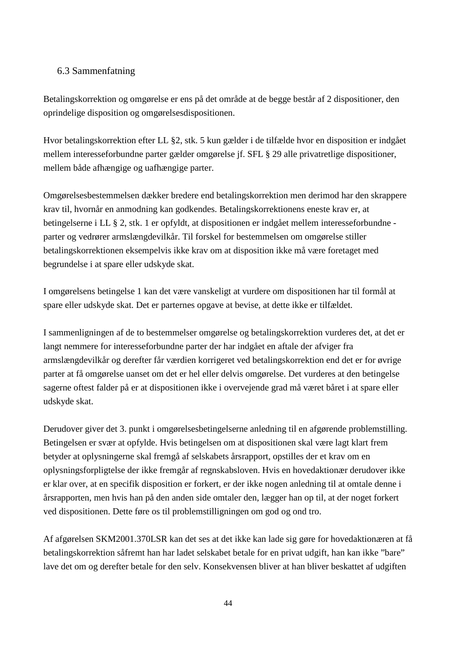#### 6.3 Sammenfatning

Betalingskorrektion og omgørelse er ens på det område at de begge består af 2 dispositioner, den oprindelige disposition og omgørelsesdispositionen.

Hvor betalingskorrektion efter LL §2, stk. 5 kun gælder i de tilfælde hvor en disposition er indgået mellem interesseforbundne parter gælder omgørelse jf. SFL § 29 alle privatretlige dispositioner, mellem både afhængige og uafhængige parter.

Omgørelsesbestemmelsen dækker bredere end betalingskorrektion men derimod har den skrappere krav til, hvornår en anmodning kan godkendes. Betalingskorrektionens eneste krav er, at betingelserne i LL § 2, stk. 1 er opfyldt, at dispositionen er indgået mellem interesseforbundne parter og vedrører armslængdevilkår. Til forskel for bestemmelsen om omgørelse stiller betalingskorrektionen eksempelvis ikke krav om at disposition ikke må være foretaget med begrundelse i at spare eller udskyde skat.

I omgørelsens betingelse 1 kan det være vanskeligt at vurdere om dispositionen har til formål at spare eller udskyde skat. Det er parternes opgave at bevise, at dette ikke er tilfældet.

I sammenligningen af de to bestemmelser omgørelse og betalingskorrektion vurderes det, at det er langt nemmere for interesseforbundne parter der har indgået en aftale der afviger fra armslængdevilkår og derefter får værdien korrigeret ved betalingskorrektion end det er for øvrige parter at få omgørelse uanset om det er hel eller delvis omgørelse. Det vurderes at den betingelse sagerne oftest falder på er at dispositionen ikke i overvejende grad må været båret i at spare eller udskyde skat.

Derudover giver det 3. punkt i omgørelsesbetingelserne anledning til en afgørende problemstilling. Betingelsen er svær at opfylde. Hvis betingelsen om at dispositionen skal være lagt klart frem betyder at oplysningerne skal fremgå af selskabets årsrapport, opstilles der et krav om en oplysningsforpligtelse der ikke fremgår af regnskabsloven. Hvis en hovedaktionær derudover ikke er klar over, at en specifik disposition er forkert, er der ikke nogen anledning til at omtale denne i årsrapporten, men hvis han på den anden side omtaler den, lægger han op til, at der noget forkert ved dispositionen. Dette føre os til problemstilligningen om god og ond tro.

Af afgørelsen SKM2001.370LSR kan det ses at det ikke kan lade sig gøre for hovedaktionæren at få betalingskorrektion såfremt han har ladet selskabet betale for en privat udgift, han kan ikke "bare" lave det om og derefter betale for den selv. Konsekvensen bliver at han bliver beskattet af udgiften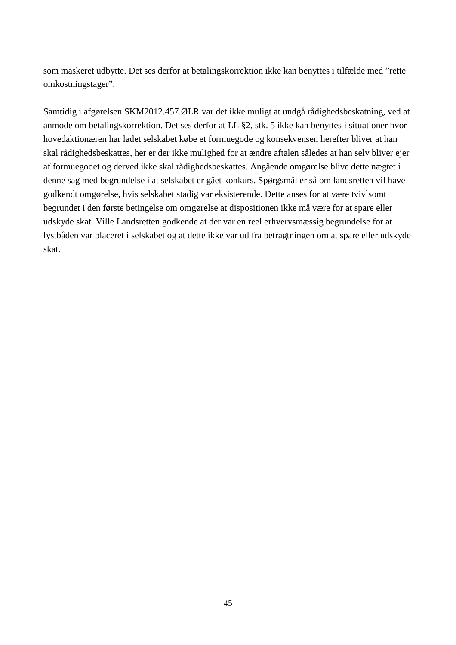som maskeret udbytte. Det ses derfor at betalingskorrektion ikke kan benyttes i tilfælde med "rette omkostningstager".

Samtidig i afgørelsen SKM2012.457.ØLR var det ikke muligt at undgå rådighedsbeskatning, ved at anmode om betalingskorrektion. Det ses derfor at LL §2, stk. 5 ikke kan benyttes i situationer hvor hovedaktionæren har ladet selskabet købe et formuegode og konsekvensen herefter bliver at han skal rådighedsbeskattes, her er der ikke mulighed for at ændre aftalen således at han selv bliver ejer af formuegodet og derved ikke skal rådighedsbeskattes. Angående omgørelse blive dette nægtet i denne sag med begrundelse i at selskabet er gået konkurs. Spørgsmål er så om landsretten vil have godkendt omgørelse, hvis selskabet stadig var eksisterende. Dette anses for at være tvivlsomt begrundet i den første betingelse om omgørelse at dispositionen ikke må være for at spare eller udskyde skat. Ville Landsretten godkende at der var en reel erhvervsmæssig begrundelse for at lystbåden var placeret i selskabet og at dette ikke var ud fra betragtningen om at spare eller udskyde skat.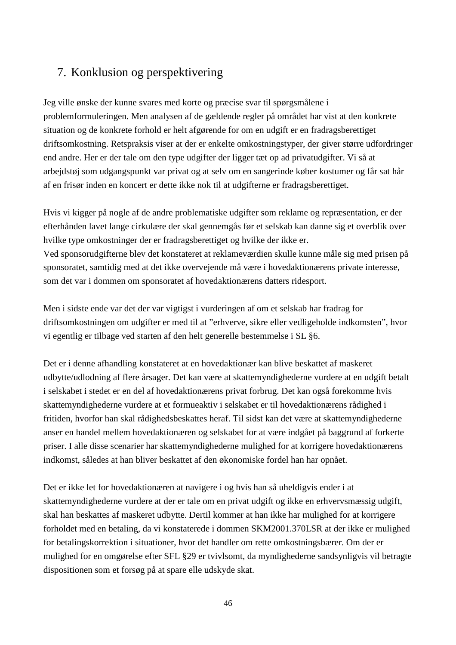## 7. Konklusion og perspektivering

Jeg ville ønske der kunne svares med korte og præcise svar til spørgsmålene i problemformuleringen. Men analysen af de gældende regler på området har vist at den konkrete situation og de konkrete forhold er helt afgørende for om en udgift er en fradragsberettiget driftsomkostning. Retspraksis viser at der er enkelte omkostningstyper, der giver større udfordringer end andre. Her er der tale om den type udgifter der ligger tæt op ad privatudgifter. Vi så at arbejdstøj som udgangspunkt var privat og at selv om en sangerinde køber kostumer og får sat hår af en frisør inden en koncert er dette ikke nok til at udgifterne er fradragsberettiget.

Hvis vi kigger på nogle af de andre problematiske udgifter som reklame og repræsentation, er der efterhånden lavet lange cirkulære der skal gennemgås før et selskab kan danne sig et overblik over hvilke type omkostninger der er fradragsberettiget og hvilke der ikke er. Ved sponsorudgifterne blev det konstateret at reklameværdien skulle kunne måle sig med prisen på sponsoratet, samtidig med at det ikke overvejende må være i hovedaktionærens private interesse, som det var i dommen om sponsoratet af hovedaktionærens datters ridesport.

Men i sidste ende var det der var vigtigst i vurderingen af om et selskab har fradrag for driftsomkostningen om udgifter er med til at "erhverve, sikre eller vedligeholde indkomsten", hvor vi egentlig er tilbage ved starten af den helt generelle bestemmelse i SL §6.

Det er i denne afhandling konstateret at en hovedaktionær kan blive beskattet af maskeret udbytte/udlodning af flere årsager. Det kan være at skattemyndighederne vurdere at en udgift betalt i selskabet i stedet er en del af hovedaktionærens privat forbrug. Det kan også forekomme hvis skattemyndighederne vurdere at et formueaktiv i selskabet er til hovedaktionærens rådighed i fritiden, hvorfor han skal rådighedsbeskattes heraf. Til sidst kan det være at skattemyndighederne anser en handel mellem hovedaktionæren og selskabet for at være indgået på baggrund af forkerte priser. I alle disse scenarier har skattemyndighederne mulighed for at korrigere hovedaktionærens indkomst, således at han bliver beskattet af den økonomiske fordel han har opnået.

Det er ikke let for hovedaktionæren at navigere i og hvis han så uheldigvis ender i at skattemyndighederne vurdere at der er tale om en privat udgift og ikke en erhvervsmæssig udgift, skal han beskattes af maskeret udbytte. Dertil kommer at han ikke har mulighed for at korrigere forholdet med en betaling, da vi konstaterede i dommen SKM2001.370LSR at der ikke er mulighed for betalingskorrektion i situationer, hvor det handler om rette omkostningsbærer. Om der er mulighed for en omgørelse efter SFL §29 er tvivlsomt, da myndighederne sandsynligvis vil betragte dispositionen som et forsøg på at spare elle udskyde skat.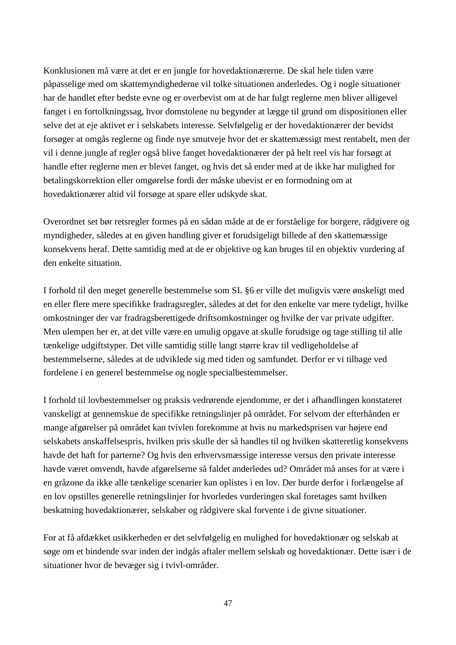Konklusionen må være at det er en jungle for hovedaktionærerne. De skal hele tiden være påpasselige med om skattemyndighederne vil tolke situationen anderledes. Og i nogle situationer har de handlet efter bedste evne og er overbevist om at de har fulgt reglerne men bliver alligevel fanget i en fortolkningssag, hvor domstolene nu begynder at lægge til grund om dispositionen eller selve det at eje aktivet er i selskabets interesse. Selvfølgelig er der hovedaktionærer der bevidst forsøger at omgås reglerne og finde nye smutveje hvor det er skattemæssigt mest rentabelt, men der vil i denne jungle af regler også blive fanget hovedaktionærer der på helt reel vis har forsøgt at handle efter reglerne men er blevet fanget, og hvis det så ender med at de ikke har mulighed for betalingskorrektion eller omgørelse fordi der måske ubevist er en formodning om at hovedaktionærer altid vil forsøge at spare eller udskyde skat.

Overordnet set bør retsregler formes på en sådan måde at de er forståelige for borgere, rådgivere og myndigheder, således at en given handling giver et forudsigeligt billede af den skattemæssige konsekvens heraf. Dette samtidig med at de er objektive og kan bruges til en objektiv vurdering af den enkelte situation.

I forhold til den meget generelle bestemmelse som SL §6 er ville det muligvis være ønskeligt med en eller flere mere specifikke fradragsregler, således at det for den enkelte var mere tydeligt, hvilke omkostninger der var fradragsberettigede driftsomkostninger og hvilke der var private udgifter. Men ulempen her er, at det ville være en umulig opgave at skulle forudsige og tage stilling til alle tænkelige udgiftstyper. Det ville samtidig stille langt større krav til vedligeholdelse af bestemmelserne, således at de udviklede sig med tiden og samfundet. Derfor er vi tilbage ved fordelene i en generel bestemmelse og nogle specialbestemmelser.

I forhold til lovbestemmelser og praksis vedrørende ejendomme, er det i afhandlingen konstateret vanskeligt at gennemskue de specifikke retningslinjer på området. For selvom der efterhånden er mange afgørelser på området kan tvivlen forekomme at hvis nu markedsprisen var højere end selskabets anskaffelsespris, hvilken pris skulle der så handles til og hvilken skatteretlig konsekvens havde det haft for parterne? Og hvis den erhvervsmæssige interesse versus den private interesse havde været omvendt, havde afgørelserne så faldet anderledes ud? Området må anses for at være i en gråzone da ikke alle tænkelige scenarier kan oplistes i en lov. Der burde derfor i forlængelse af en lov opstilles generelle retningslinjer for hvorledes vurderingen skal foretages samt hvilken beskatning hovedaktionærer, selskaber og rådgivere skal forvente i de givne situationer.

For at få afdækket usikkerheden er det selvfølgelig en mulighed for hovedaktionær og selskab at søge om et bindende svar inden der indgås aftaler mellem selskab og hovedaktionær. Dette især i de situationer hvor de bevæger sig i tvivl-områder.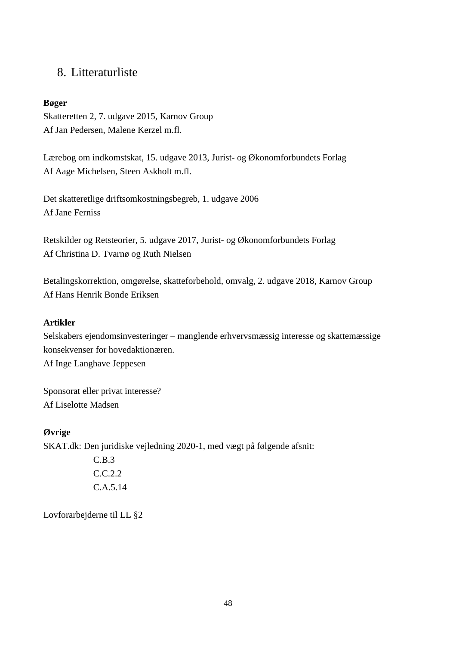## 8. Litteraturliste

#### **Bøger**

Skatteretten 2, 7. udgave 2015, Karnov Group Af Jan Pedersen, Malene Kerzel m.fl.

Lærebog om indkomstskat, 15. udgave 2013, Jurist- og Økonomforbundets Forlag Af Aage Michelsen, Steen Askholt m.fl.

Det skatteretlige driftsomkostningsbegreb, 1. udgave 2006 Af Jane Ferniss

Retskilder og Retsteorier, 5. udgave 2017, Jurist- og Økonomforbundets Forlag Af Christina D. Tvarnø og Ruth Nielsen

Betalingskorrektion, omgørelse, skatteforbehold, omvalg, 2. udgave 2018, Karnov Group Af Hans Henrik Bonde Eriksen

#### **Artikler**

Selskabers ejendomsinvesteringer – manglende erhvervsmæssig interesse og skattemæssige konsekvenser for hovedaktionæren. Af Inge Langhave Jeppesen

Sponsorat eller privat interesse? Af Liselotte Madsen

#### **Øvrige**

SKAT.dk: Den juridiske vejledning 2020-1, med vægt på følgende afsnit:

C.B.3 C.C.2.2 C.A.5.14

Lovforarbejderne til LL §2